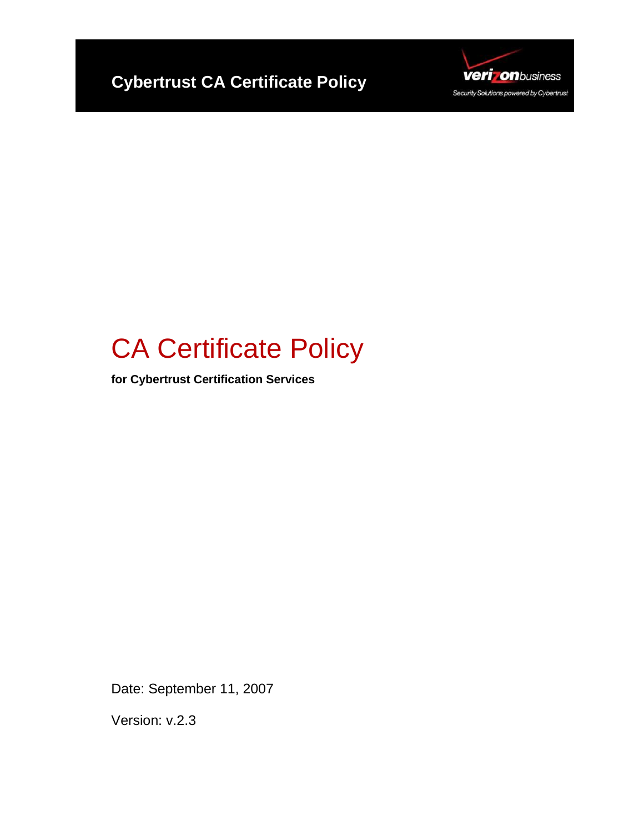



# CA Certificate Policy

**for Cybertrust Certification Services** 

Date: September 11, 2007

Version: v.2.3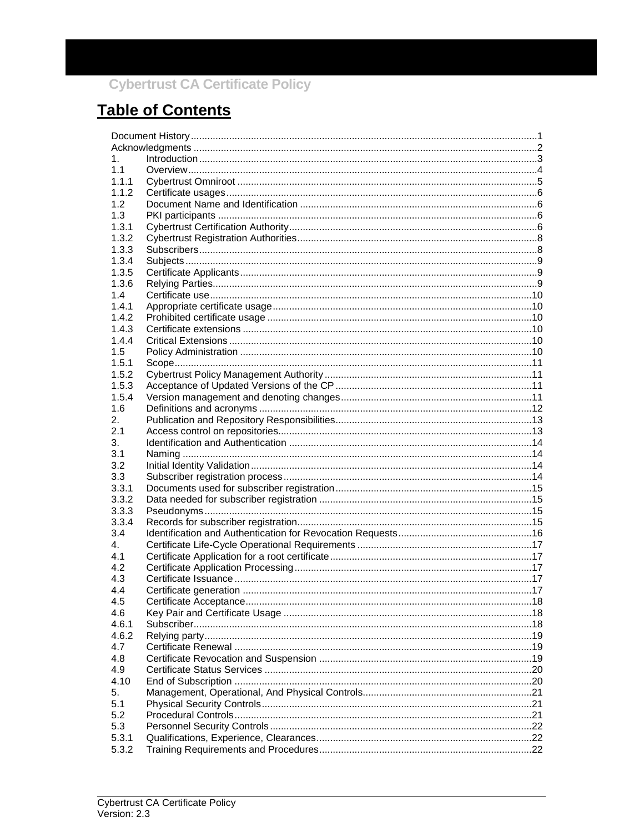## **Table of Contents**

| 1.             |  |  |
|----------------|--|--|
| 1.1            |  |  |
| 1.1.1          |  |  |
| 1.1.2          |  |  |
| 1.2            |  |  |
| 1.3            |  |  |
| 1.3.1          |  |  |
| 1.3.2          |  |  |
| 1.3.3          |  |  |
| 1.3.4          |  |  |
| 1.3.5          |  |  |
| 1.3.6          |  |  |
| 1.4            |  |  |
| 1.4.1          |  |  |
| 1.4.2          |  |  |
| 1.4.3          |  |  |
| 144            |  |  |
| 1.5            |  |  |
| 1.5.1          |  |  |
| 1.5.2          |  |  |
| 1.5.3          |  |  |
| 1.5.4          |  |  |
| 1.6            |  |  |
| 2.             |  |  |
| 2.1            |  |  |
| 3.             |  |  |
| 3.1            |  |  |
| 3.2            |  |  |
| 3.3            |  |  |
| 3.3.1          |  |  |
| 3.3.2          |  |  |
| 3.3.3          |  |  |
| 3.3.4          |  |  |
| 3.4            |  |  |
| 4.             |  |  |
| 4.1            |  |  |
| 4.2            |  |  |
| 4.3            |  |  |
| 4.4            |  |  |
| 4.5            |  |  |
| 4.6            |  |  |
| 4.6.1          |  |  |
| 4.6.2          |  |  |
| 4.7<br>4.8     |  |  |
|                |  |  |
| 4.9            |  |  |
| 4.10           |  |  |
| 5.             |  |  |
| 5.1            |  |  |
| 5.2            |  |  |
| 5.3            |  |  |
| 5.3.1<br>5.3.2 |  |  |
|                |  |  |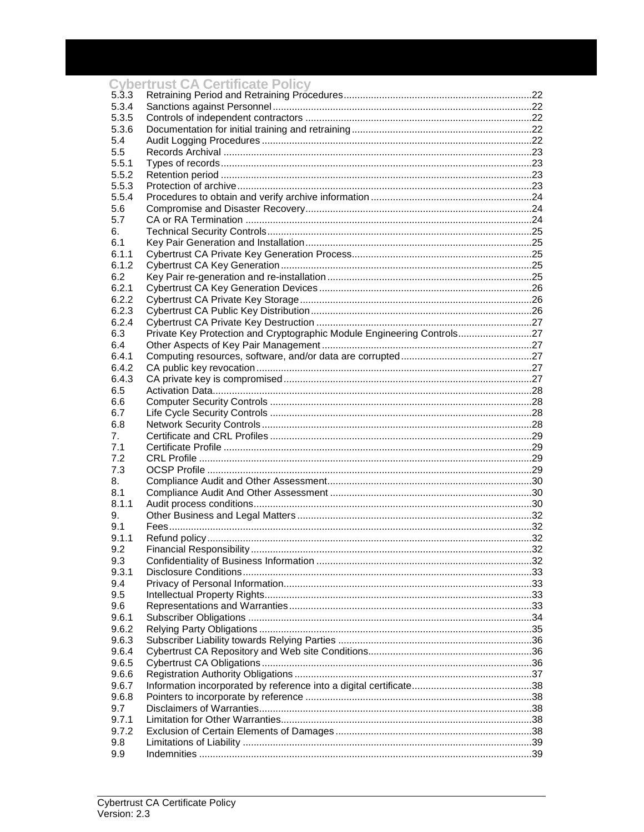|                    | <b>Cybertrust CA Certificate Policy</b>                                |    |
|--------------------|------------------------------------------------------------------------|----|
| $5.\overline{3}.3$ |                                                                        |    |
| 5.3.4              |                                                                        |    |
| 5.3.5              |                                                                        |    |
| 5.3.6              |                                                                        |    |
| 5.4                |                                                                        |    |
| 5.5                |                                                                        |    |
| 5.5.1              |                                                                        |    |
| 5.5.2<br>5.5.3     |                                                                        |    |
| 5.5.4              |                                                                        |    |
| 5.6                |                                                                        |    |
| 5.7                |                                                                        |    |
| 6.                 |                                                                        |    |
| 6.1                |                                                                        |    |
| 6.1.1              |                                                                        |    |
| 6.1.2              |                                                                        |    |
| 6.2                |                                                                        |    |
| 6.2.1              |                                                                        |    |
| 6.2.2              |                                                                        |    |
| 6.2.3              |                                                                        |    |
| 6.2.4              |                                                                        |    |
| 6.3                | Private Key Protection and Cryptographic Module Engineering Controls27 |    |
| 6.4                |                                                                        |    |
| 6.4.1              |                                                                        |    |
| 6.4.2              |                                                                        |    |
| 6.4.3              |                                                                        |    |
| 6.5                |                                                                        |    |
| 6.6                |                                                                        |    |
| 6.7                |                                                                        |    |
| 6.8                |                                                                        |    |
| 7.                 |                                                                        |    |
| 7.1                |                                                                        |    |
| 7.2                |                                                                        |    |
| 7.3                |                                                                        |    |
| 8.                 |                                                                        |    |
| 8.1                |                                                                        |    |
| 8.1.1              |                                                                        |    |
| 9.<br>9.1          |                                                                        |    |
| 9.1.1              |                                                                        |    |
| 9.2                |                                                                        | 32 |
| 9.3                |                                                                        |    |
| 9.3.1              |                                                                        |    |
| 9.4                |                                                                        |    |
| 9.5                |                                                                        |    |
| 9.6                |                                                                        |    |
| 9.6.1              |                                                                        |    |
| 9.6.2              |                                                                        |    |
| 9.6.3              |                                                                        |    |
| 9.6.4              |                                                                        |    |
| 9.6.5              |                                                                        |    |
| 9.6.6              |                                                                        |    |
| 9.6.7              |                                                                        |    |
| 9.6.8              |                                                                        |    |
| 9.7                |                                                                        |    |
| 9.7.1              |                                                                        |    |
| 9.7.2              |                                                                        |    |
| 9.8                |                                                                        |    |
| 9.9                |                                                                        |    |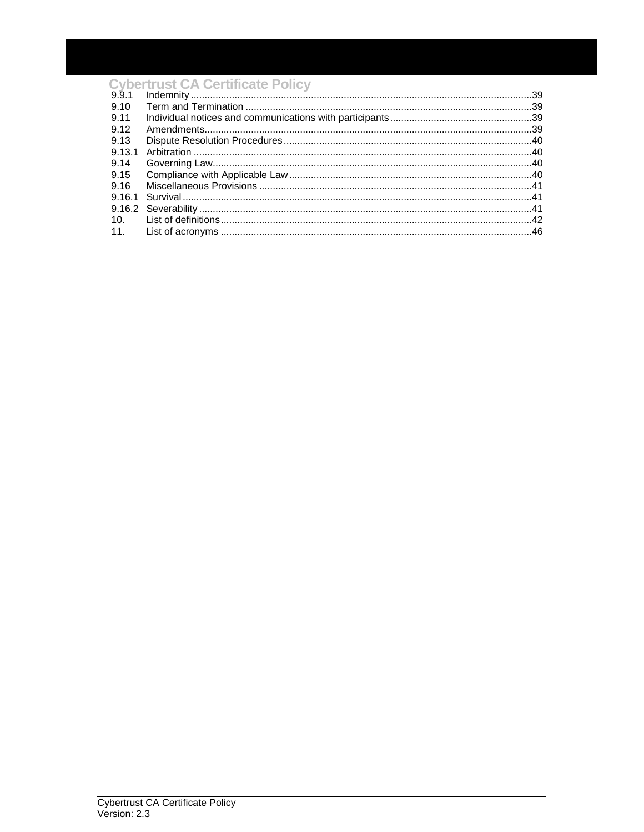| 9.9.1  |  |
|--------|--|
| 9.10   |  |
| 9.11   |  |
| 9.12   |  |
| 9.13   |  |
| 9.13.1 |  |
| 9.14   |  |
| 9.15   |  |
| 9.16   |  |
|        |  |
|        |  |
|        |  |
|        |  |
|        |  |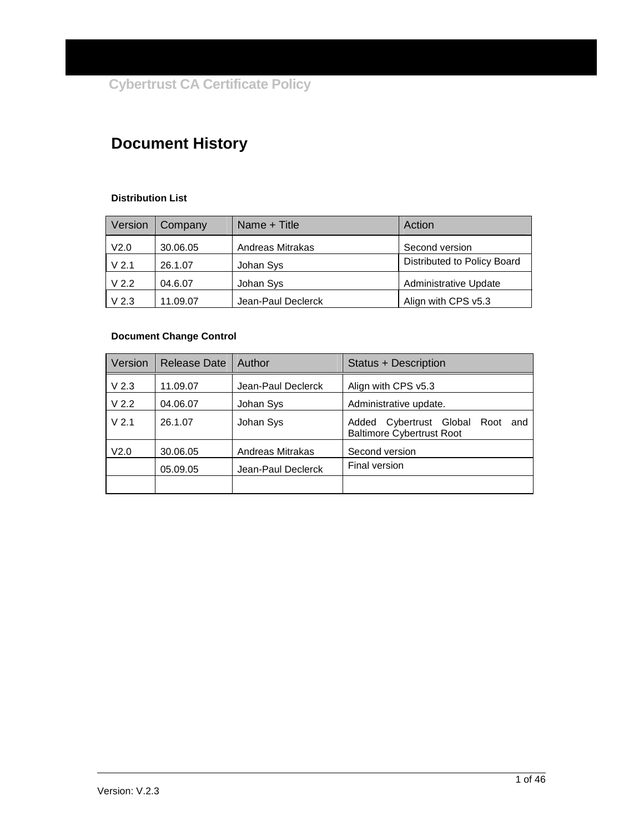## **Document History**

#### **Distribution List**

| Version          | Company  | Name + Title       | Action                       |
|------------------|----------|--------------------|------------------------------|
| V <sub>2.0</sub> | 30.06.05 | Andreas Mitrakas   | Second version               |
| V <sub>2.1</sub> | 26.1.07  | Johan Sys          | Distributed to Policy Board  |
| V <sub>2.2</sub> | 04.6.07  | Johan Sys          | <b>Administrative Update</b> |
| V <sub>2.3</sub> | 11.09.07 | Jean-Paul Declerck | Align with CPS v5.3          |

#### **Document Change Control**

| Version          | <b>Release Date</b> | Author             | Status + Description                                                       |
|------------------|---------------------|--------------------|----------------------------------------------------------------------------|
| V <sub>2.3</sub> | 11.09.07            | Jean-Paul Declerck | Align with CPS v5.3                                                        |
| V <sub>2.2</sub> | 04.06.07            | Johan Sys          | Administrative update.                                                     |
| V <sub>2.1</sub> | 26.1.07             | Johan Sys          | Cybertrust Global Root<br>Added<br>and<br><b>Baltimore Cybertrust Root</b> |
| V2.0             | 30.06.05            | Andreas Mitrakas   | Second version                                                             |
|                  | 05.09.05            | Jean-Paul Declerck | Final version                                                              |
|                  |                     |                    |                                                                            |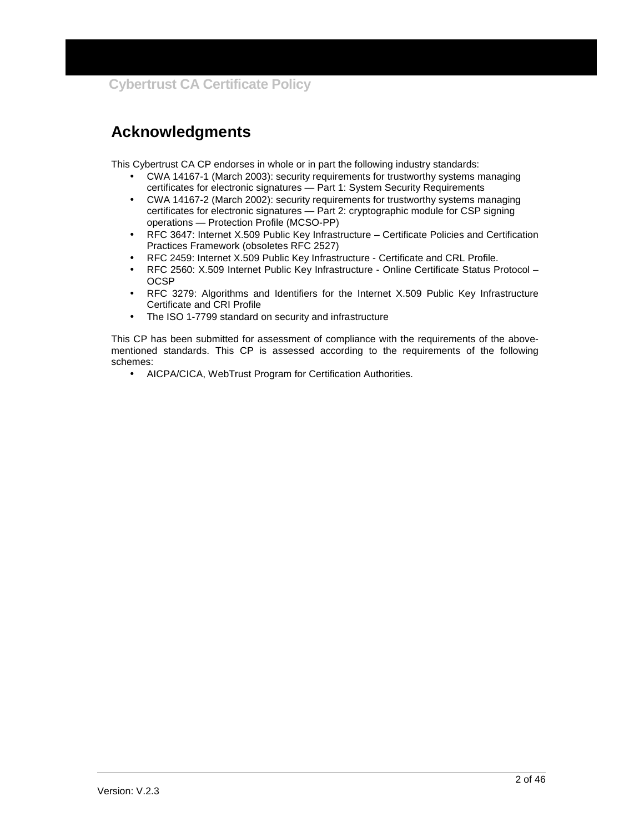## **Acknowledgments**

This Cybertrust CA CP endorses in whole or in part the following industry standards:

- CWA 14167-1 (March 2003): security requirements for trustworthy systems managing certificates for electronic signatures — Part 1: System Security Requirements
- CWA 14167-2 (March 2002): security requirements for trustworthy systems managing certificates for electronic signatures — Part 2: cryptographic module for CSP signing operations — Protection Profile (MCSO-PP)
- RFC 3647: Internet X.509 Public Key Infrastructure Certificate Policies and Certification Practices Framework (obsoletes RFC 2527)
- RFC 2459: Internet X.509 Public Key Infrastructure Certificate and CRL Profile.
- RFC 2560: X.509 Internet Public Key Infrastructure Online Certificate Status Protocol **OCSP**
- RFC 3279: Algorithms and Identifiers for the Internet X.509 Public Key Infrastructure Certificate and CRI Profile
- The ISO 1-7799 standard on security and infrastructure

This CP has been submitted for assessment of compliance with the requirements of the abovementioned standards. This CP is assessed according to the requirements of the following schemes:

• AICPA/CICA, WebTrust Program for Certification Authorities.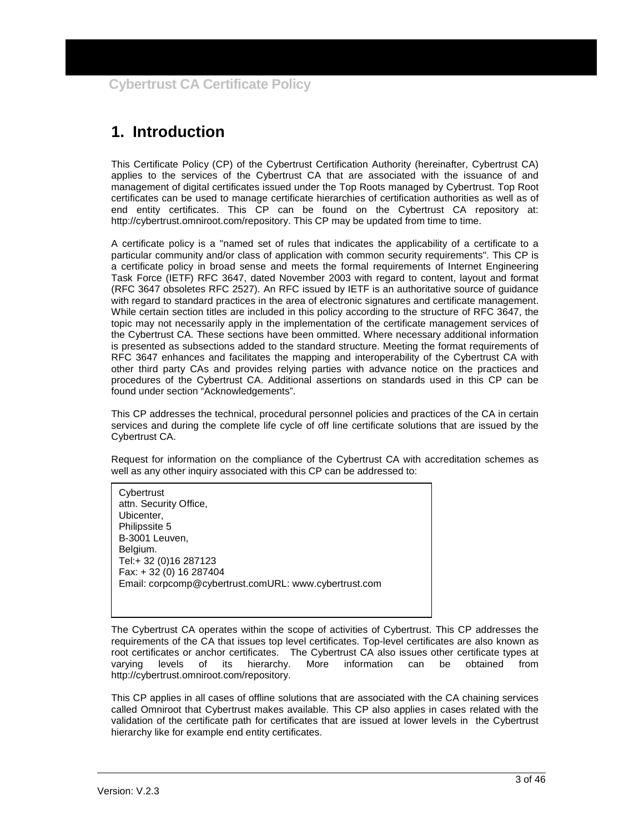## **1. Introduction**

This Certificate Policy (CP) of the Cybertrust Certification Authority (hereinafter, Cybertrust CA) applies to the services of the Cybertrust CA that are associated with the issuance of and management of digital certificates issued under the Top Roots managed by Cybertrust. Top Root certificates can be used to manage certificate hierarchies of certification authorities as well as of end entity certificates. This CP can be found on the Cybertrust CA repository at: http://cybertrust.omniroot.com/repository. This CP may be updated from time to time.

A certificate policy is a "named set of rules that indicates the applicability of a certificate to a particular community and/or class of application with common security requirements". This CP is a certificate policy in broad sense and meets the formal requirements of Internet Engineering Task Force (IETF) RFC 3647, dated November 2003 with regard to content, layout and format (RFC 3647 obsoletes RFC 2527). An RFC issued by IETF is an authoritative source of guidance with regard to standard practices in the area of electronic signatures and certificate management. While certain section titles are included in this policy according to the structure of RFC 3647, the topic may not necessarily apply in the implementation of the certificate management services of the Cybertrust CA. These sections have been ommitted. Where necessary additional information is presented as subsections added to the standard structure. Meeting the format requirements of RFC 3647 enhances and facilitates the mapping and interoperability of the Cybertrust CA with other third party CAs and provides relying parties with advance notice on the practices and procedures of the Cybertrust CA. Additional assertions on standards used in this CP can be found under section "Acknowledgements".

This CP addresses the technical, procedural personnel policies and practices of the CA in certain services and during the complete life cycle of off line certificate solutions that are issued by the Cybertrust CA.

Request for information on the compliance of the Cybertrust CA with accreditation schemes as well as any other inquiry associated with this CP can be addressed to:

**Cybertrust** attn. Security Office, Ubicenter, Philipssite 5 B-3001 Leuven, Belgium. Tel:+ 32 (0)16 287123 Fax: + 32 (0) 16 287404 Email: corpcomp@cybertrust.comURL: www.cybertrust.com

The Cybertrust CA operates within the scope of activities of Cybertrust. This CP addresses the requirements of the CA that issues top level certificates. Top-level certificates are also known as root certificates or anchor certificates. The Cybertrust CA also issues other certificate types at varying levels of its hierarchy. More information can be obtained from varying levels of its hierarchy. More information can be http://cybertrust.omniroot.com/repository.

This CP applies in all cases of offline solutions that are associated with the CA chaining services called Omniroot that Cybertrust makes available. This CP also applies in cases related with the validation of the certificate path for certificates that are issued at lower levels in the Cybertrust hierarchy like for example end entity certificates.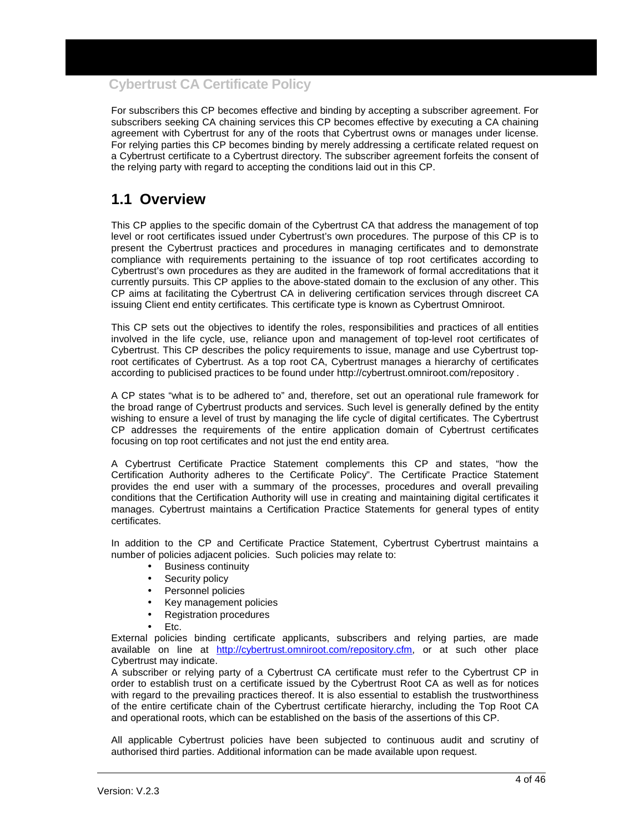For subscribers this CP becomes effective and binding by accepting a subscriber agreement. For subscribers seeking CA chaining services this CP becomes effective by executing a CA chaining agreement with Cybertrust for any of the roots that Cybertrust owns or manages under license. For relying parties this CP becomes binding by merely addressing a certificate related request on a Cybertrust certificate to a Cybertrust directory. The subscriber agreement forfeits the consent of the relying party with regard to accepting the conditions laid out in this CP.

## **1.1 Overview**

This CP applies to the specific domain of the Cybertrust CA that address the management of top level or root certificates issued under Cybertrust's own procedures. The purpose of this CP is to present the Cybertrust practices and procedures in managing certificates and to demonstrate compliance with requirements pertaining to the issuance of top root certificates according to Cybertrust's own procedures as they are audited in the framework of formal accreditations that it currently pursuits. This CP applies to the above-stated domain to the exclusion of any other. This CP aims at facilitating the Cybertrust CA in delivering certification services through discreet CA issuing Client end entity certificates. This certificate type is known as Cybertrust Omniroot.

This CP sets out the objectives to identify the roles, responsibilities and practices of all entities involved in the life cycle, use, reliance upon and management of top-level root certificates of Cybertrust. This CP describes the policy requirements to issue, manage and use Cybertrust toproot certificates of Cybertrust. As a top root CA, Cybertrust manages a hierarchy of certificates according to publicised practices to be found under http://cybertrust.omniroot.com/repository .

A CP states "what is to be adhered to" and, therefore, set out an operational rule framework for the broad range of Cybertrust products and services. Such level is generally defined by the entity wishing to ensure a level of trust by managing the life cycle of digital certificates. The Cybertrust CP addresses the requirements of the entire application domain of Cybertrust certificates focusing on top root certificates and not just the end entity area.

A Cybertrust Certificate Practice Statement complements this CP and states, "how the Certification Authority adheres to the Certificate Policy". The Certificate Practice Statement provides the end user with a summary of the processes, procedures and overall prevailing conditions that the Certification Authority will use in creating and maintaining digital certificates it manages. Cybertrust maintains a Certification Practice Statements for general types of entity certificates.

In addition to the CP and Certificate Practice Statement, Cybertrust Cybertrust maintains a number of policies adjacent policies. Such policies may relate to:

- Business continuity
- Security policy
- Personnel policies
- Key management policies
- Registration procedures
- Etc.

External policies binding certificate applicants, subscribers and relying parties, are made available on line at http://cybertrust.omniroot.com/repository.cfm, or at such other place Cybertrust may indicate.

A subscriber or relying party of a Cybertrust CA certificate must refer to the Cybertrust CP in order to establish trust on a certificate issued by the Cybertrust Root CA as well as for notices with regard to the prevailing practices thereof. It is also essential to establish the trustworthiness of the entire certificate chain of the Cybertrust certificate hierarchy, including the Top Root CA and operational roots, which can be established on the basis of the assertions of this CP.

All applicable Cybertrust policies have been subjected to continuous audit and scrutiny of authorised third parties. Additional information can be made available upon request.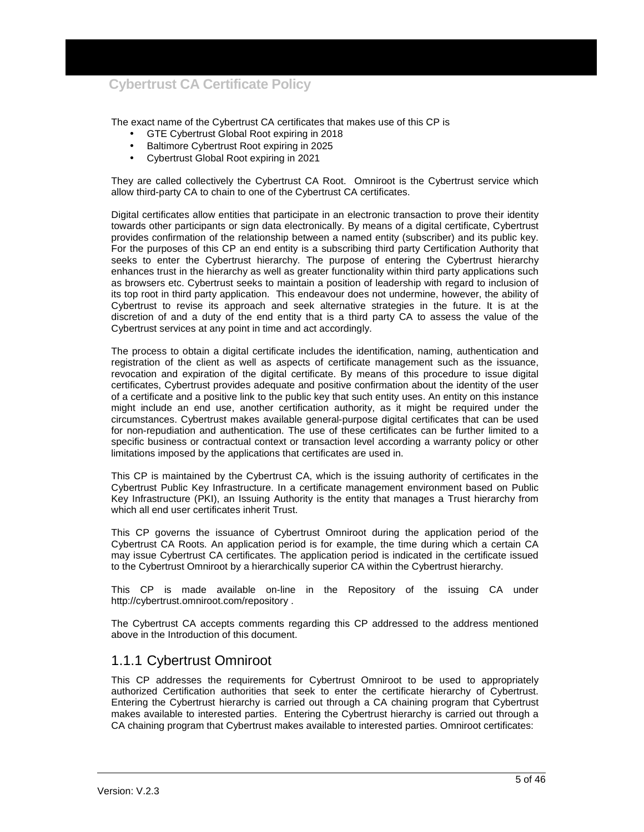The exact name of the Cybertrust CA certificates that makes use of this CP is

- GTE Cybertrust Global Root expiring in 2018
- Baltimore Cybertrust Root expiring in 2025
- Cybertrust Global Root expiring in 2021

They are called collectively the Cybertrust CA Root. Omniroot is the Cybertrust service which allow third-party CA to chain to one of the Cybertrust CA certificates.

Digital certificates allow entities that participate in an electronic transaction to prove their identity towards other participants or sign data electronically. By means of a digital certificate, Cybertrust provides confirmation of the relationship between a named entity (subscriber) and its public key. For the purposes of this CP an end entity is a subscribing third party Certification Authority that seeks to enter the Cybertrust hierarchy. The purpose of entering the Cybertrust hierarchy enhances trust in the hierarchy as well as greater functionality within third party applications such as browsers etc. Cybertrust seeks to maintain a position of leadership with regard to inclusion of its top root in third party application. This endeavour does not undermine, however, the ability of Cybertrust to revise its approach and seek alternative strategies in the future. It is at the discretion of and a duty of the end entity that is a third party CA to assess the value of the Cybertrust services at any point in time and act accordingly.

The process to obtain a digital certificate includes the identification, naming, authentication and registration of the client as well as aspects of certificate management such as the issuance, revocation and expiration of the digital certificate. By means of this procedure to issue digital certificates, Cybertrust provides adequate and positive confirmation about the identity of the user of a certificate and a positive link to the public key that such entity uses. An entity on this instance might include an end use, another certification authority, as it might be required under the circumstances. Cybertrust makes available general-purpose digital certificates that can be used for non-repudiation and authentication. The use of these certificates can be further limited to a specific business or contractual context or transaction level according a warranty policy or other limitations imposed by the applications that certificates are used in.

This CP is maintained by the Cybertrust CA, which is the issuing authority of certificates in the Cybertrust Public Key Infrastructure. In a certificate management environment based on Public Key Infrastructure (PKI), an Issuing Authority is the entity that manages a Trust hierarchy from which all end user certificates inherit Trust.

This CP governs the issuance of Cybertrust Omniroot during the application period of the Cybertrust CA Roots. An application period is for example, the time during which a certain CA may issue Cybertrust CA certificates. The application period is indicated in the certificate issued to the Cybertrust Omniroot by a hierarchically superior CA within the Cybertrust hierarchy.

This CP is made available on-line in the Repository of the issuing CA under http://cybertrust.omniroot.com/repository .

The Cybertrust CA accepts comments regarding this CP addressed to the address mentioned above in the Introduction of this document.

#### 1.1.1 Cybertrust Omniroot

This CP addresses the requirements for Cybertrust Omniroot to be used to appropriately authorized Certification authorities that seek to enter the certificate hierarchy of Cybertrust. Entering the Cybertrust hierarchy is carried out through a CA chaining program that Cybertrust makes available to interested parties. Entering the Cybertrust hierarchy is carried out through a CA chaining program that Cybertrust makes available to interested parties. Omniroot certificates: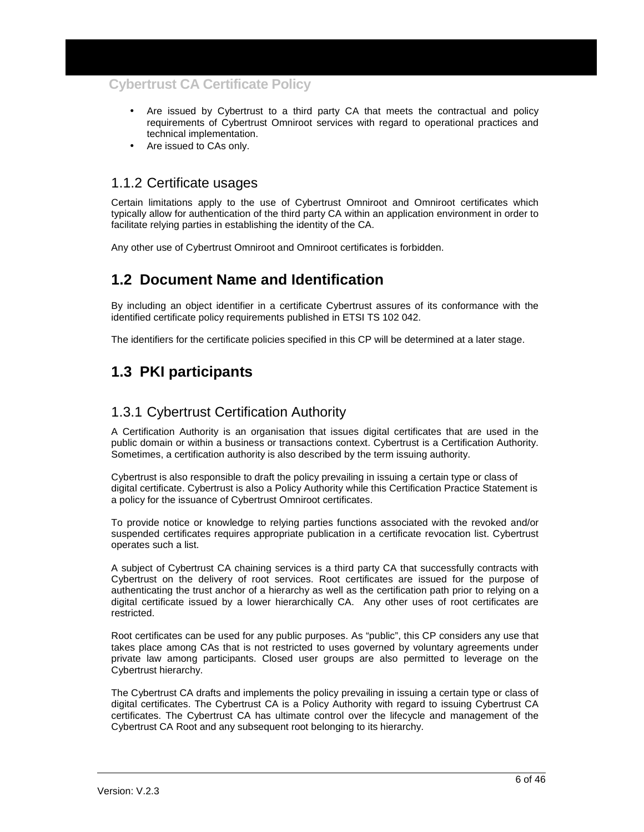- Are issued by Cybertrust to a third party CA that meets the contractual and policy requirements of Cybertrust Omniroot services with regard to operational practices and technical implementation.
- Are issued to CAs only.

### 1.1.2 Certificate usages

Certain limitations apply to the use of Cybertrust Omniroot and Omniroot certificates which typically allow for authentication of the third party CA within an application environment in order to facilitate relying parties in establishing the identity of the CA.

Any other use of Cybertrust Omniroot and Omniroot certificates is forbidden.

## **1.2 Document Name and Identification**

By including an object identifier in a certificate Cybertrust assures of its conformance with the identified certificate policy requirements published in ETSI TS 102 042.

The identifiers for the certificate policies specified in this CP will be determined at a later stage.

## **1.3 PKI participants**

### 1.3.1 Cybertrust Certification Authority

A Certification Authority is an organisation that issues digital certificates that are used in the public domain or within a business or transactions context. Cybertrust is a Certification Authority. Sometimes, a certification authority is also described by the term issuing authority.

Cybertrust is also responsible to draft the policy prevailing in issuing a certain type or class of digital certificate. Cybertrust is also a Policy Authority while this Certification Practice Statement is a policy for the issuance of Cybertrust Omniroot certificates.

To provide notice or knowledge to relying parties functions associated with the revoked and/or suspended certificates requires appropriate publication in a certificate revocation list. Cybertrust operates such a list.

A subject of Cybertrust CA chaining services is a third party CA that successfully contracts with Cybertrust on the delivery of root services. Root certificates are issued for the purpose of authenticating the trust anchor of a hierarchy as well as the certification path prior to relying on a digital certificate issued by a lower hierarchically CA. Any other uses of root certificates are restricted.

Root certificates can be used for any public purposes. As "public", this CP considers any use that takes place among CAs that is not restricted to uses governed by voluntary agreements under private law among participants. Closed user groups are also permitted to leverage on the Cybertrust hierarchy.

The Cybertrust CA drafts and implements the policy prevailing in issuing a certain type or class of digital certificates. The Cybertrust CA is a Policy Authority with regard to issuing Cybertrust CA certificates. The Cybertrust CA has ultimate control over the lifecycle and management of the Cybertrust CA Root and any subsequent root belonging to its hierarchy.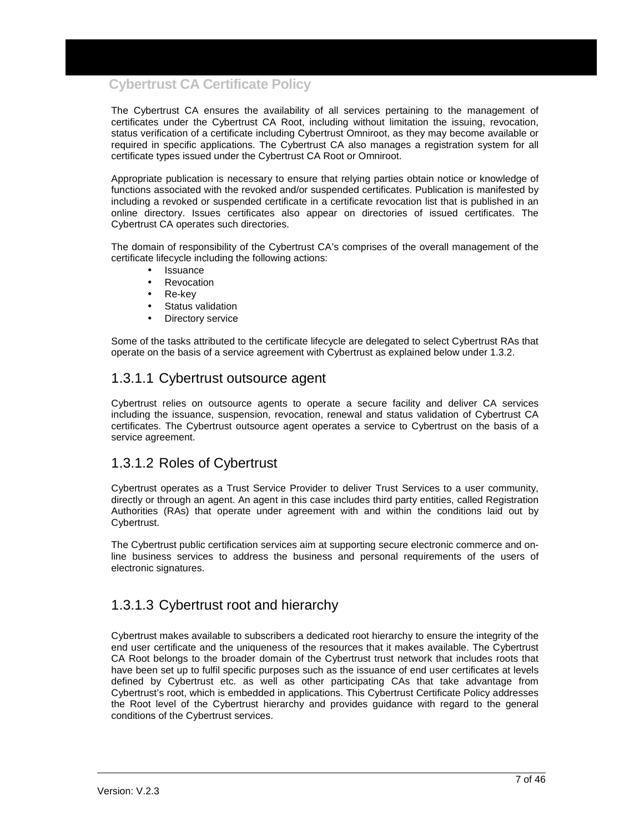The Cybertrust CA ensures the availability of all services pertaining to the management of certificates under the Cybertrust CA Root, including without limitation the issuing, revocation, status verification of a certificate including Cybertrust Omniroot, as they may become available or required in specific applications. The Cybertrust CA also manages a registration system for all certificate types issued under the Cybertrust CA Root or Omniroot.

Appropriate publication is necessary to ensure that relying parties obtain notice or knowledge of functions associated with the revoked and/or suspended certificates. Publication is manifested by including a revoked or suspended certificate in a certificate revocation list that is published in an online directory. Issues certificates also appear on directories of issued certificates. The Cybertrust CA operates such directories.

The domain of responsibility of the Cybertrust CA's comprises of the overall management of the certificate lifecycle including the following actions:

- **Issuance**
- **Revocation**
- Re-key
- Status validation
- Directory service

Some of the tasks attributed to the certificate lifecycle are delegated to select Cybertrust RAs that operate on the basis of a service agreement with Cybertrust as explained below under 1.3.2.

### 1.3.1.1 Cybertrust outsource agent

Cybertrust relies on outsource agents to operate a secure facility and deliver CA services including the issuance, suspension, revocation, renewal and status validation of Cybertrust CA certificates. The Cybertrust outsource agent operates a service to Cybertrust on the basis of a service agreement.

#### 1.3.1.2 Roles of Cybertrust

Cybertrust operates as a Trust Service Provider to deliver Trust Services to a user community, directly or through an agent. An agent in this case includes third party entities, called Registration Authorities (RAs) that operate under agreement with and within the conditions laid out by Cybertrust.

The Cybertrust public certification services aim at supporting secure electronic commerce and online business services to address the business and personal requirements of the users of electronic signatures.

### 1.3.1.3 Cybertrust root and hierarchy

Cybertrust makes available to subscribers a dedicated root hierarchy to ensure the integrity of the end user certificate and the uniqueness of the resources that it makes available. The Cybertrust CA Root belongs to the broader domain of the Cybertrust trust network that includes roots that have been set up to fulfil specific purposes such as the issuance of end user certificates at levels defined by Cybertrust etc. as well as other participating CAs that take advantage from Cybertrust's root, which is embedded in applications. This Cybertrust Certificate Policy addresses the Root level of the Cybertrust hierarchy and provides guidance with regard to the general conditions of the Cybertrust services.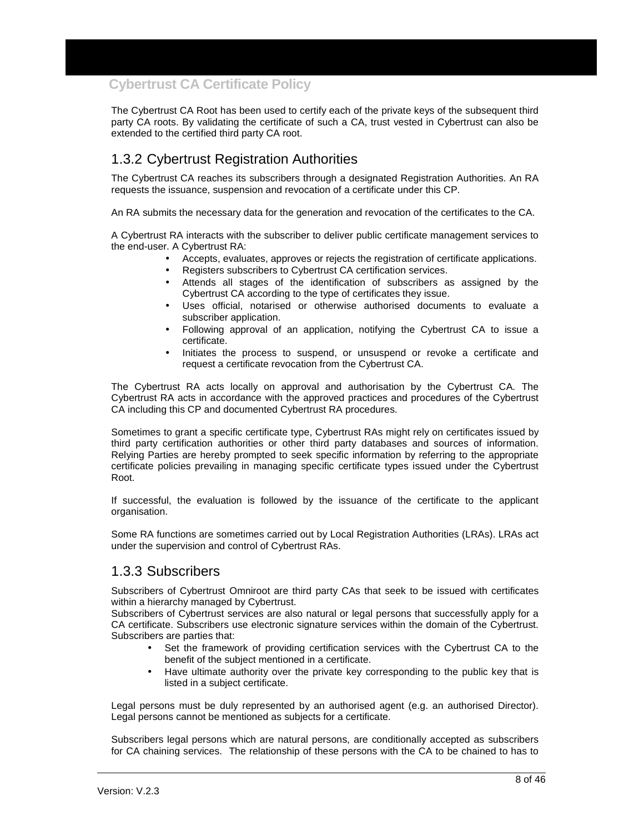The Cybertrust CA Root has been used to certify each of the private keys of the subsequent third party CA roots. By validating the certificate of such a CA, trust vested in Cybertrust can also be extended to the certified third party CA root.

## 1.3.2 Cybertrust Registration Authorities

The Cybertrust CA reaches its subscribers through a designated Registration Authorities. An RA requests the issuance, suspension and revocation of a certificate under this CP.

An RA submits the necessary data for the generation and revocation of the certificates to the CA.

A Cybertrust RA interacts with the subscriber to deliver public certificate management services to the end-user. A Cybertrust RA:

- Accepts, evaluates, approves or rejects the registration of certificate applications.
- Registers subscribers to Cybertrust CA certification services.
- Attends all stages of the identification of subscribers as assigned by the Cybertrust CA according to the type of certificates they issue.
- Uses official, notarised or otherwise authorised documents to evaluate a subscriber application.
- Following approval of an application, notifying the Cybertrust CA to issue a certificate.
- Initiates the process to suspend, or unsuspend or revoke a certificate and request a certificate revocation from the Cybertrust CA.

The Cybertrust RA acts locally on approval and authorisation by the Cybertrust CA. The Cybertrust RA acts in accordance with the approved practices and procedures of the Cybertrust CA including this CP and documented Cybertrust RA procedures.

Sometimes to grant a specific certificate type, Cybertrust RAs might rely on certificates issued by third party certification authorities or other third party databases and sources of information. Relying Parties are hereby prompted to seek specific information by referring to the appropriate certificate policies prevailing in managing specific certificate types issued under the Cybertrust Root.

If successful, the evaluation is followed by the issuance of the certificate to the applicant organisation.

Some RA functions are sometimes carried out by Local Registration Authorities (LRAs). LRAs act under the supervision and control of Cybertrust RAs.

#### 1.3.3 Subscribers

Subscribers of Cybertrust Omniroot are third party CAs that seek to be issued with certificates within a hierarchy managed by Cybertrust.

Subscribers of Cybertrust services are also natural or legal persons that successfully apply for a CA certificate. Subscribers use electronic signature services within the domain of the Cybertrust. Subscribers are parties that:

- Set the framework of providing certification services with the Cybertrust CA to the benefit of the subject mentioned in a certificate.
- Have ultimate authority over the private key corresponding to the public key that is listed in a subject certificate.

Legal persons must be duly represented by an authorised agent (e.g. an authorised Director). Legal persons cannot be mentioned as subjects for a certificate.

Subscribers legal persons which are natural persons, are conditionally accepted as subscribers for CA chaining services. The relationship of these persons with the CA to be chained to has to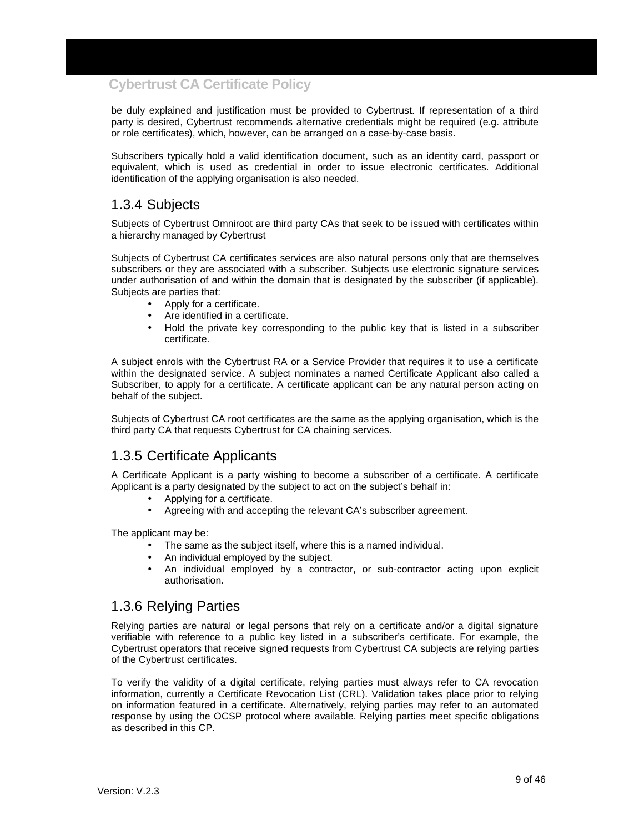be duly explained and justification must be provided to Cybertrust. If representation of a third party is desired, Cybertrust recommends alternative credentials might be required (e.g. attribute or role certificates), which, however, can be arranged on a case-by-case basis.

Subscribers typically hold a valid identification document, such as an identity card, passport or equivalent, which is used as credential in order to issue electronic certificates. Additional identification of the applying organisation is also needed.

### 1.3.4 Subjects

Subjects of Cybertrust Omniroot are third party CAs that seek to be issued with certificates within a hierarchy managed by Cybertrust

Subjects of Cybertrust CA certificates services are also natural persons only that are themselves subscribers or they are associated with a subscriber. Subjects use electronic signature services under authorisation of and within the domain that is designated by the subscriber (if applicable). Subjects are parties that:

- Apply for a certificate.
- Are identified in a certificate.
- Hold the private key corresponding to the public key that is listed in a subscriber certificate.

A subject enrols with the Cybertrust RA or a Service Provider that requires it to use a certificate within the designated service. A subject nominates a named Certificate Applicant also called a Subscriber, to apply for a certificate. A certificate applicant can be any natural person acting on behalf of the subject.

Subjects of Cybertrust CA root certificates are the same as the applying organisation, which is the third party CA that requests Cybertrust for CA chaining services.

#### 1.3.5 Certificate Applicants

A Certificate Applicant is a party wishing to become a subscriber of a certificate. A certificate Applicant is a party designated by the subject to act on the subject's behalf in:

- Applying for a certificate.
- Agreeing with and accepting the relevant CA's subscriber agreement.

The applicant may be:

- The same as the subject itself, where this is a named individual.
- An individual employed by the subject.
- An individual employed by a contractor, or sub-contractor acting upon explicit authorisation.

### 1.3.6 Relying Parties

Relying parties are natural or legal persons that rely on a certificate and/or a digital signature verifiable with reference to a public key listed in a subscriber's certificate. For example, the Cybertrust operators that receive signed requests from Cybertrust CA subjects are relying parties of the Cybertrust certificates.

To verify the validity of a digital certificate, relying parties must always refer to CA revocation information, currently a Certificate Revocation List (CRL). Validation takes place prior to relying on information featured in a certificate. Alternatively, relying parties may refer to an automated response by using the OCSP protocol where available. Relying parties meet specific obligations as described in this CP.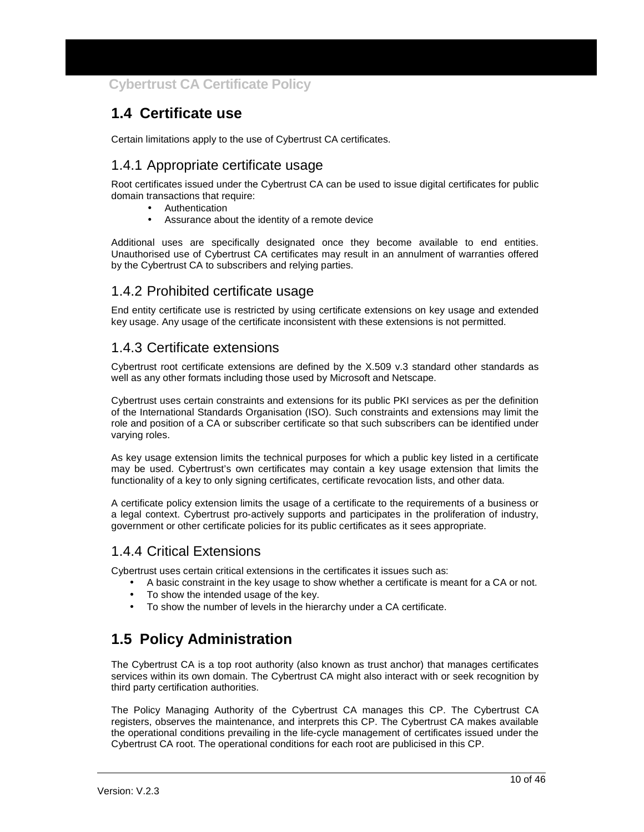## **1.4 Certificate use**

Certain limitations apply to the use of Cybertrust CA certificates.

## 1.4.1 Appropriate certificate usage

Root certificates issued under the Cybertrust CA can be used to issue digital certificates for public domain transactions that require:

- **Authentication**
- Assurance about the identity of a remote device

Additional uses are specifically designated once they become available to end entities. Unauthorised use of Cybertrust CA certificates may result in an annulment of warranties offered by the Cybertrust CA to subscribers and relying parties.

### 1.4.2 Prohibited certificate usage

End entity certificate use is restricted by using certificate extensions on key usage and extended key usage. Any usage of the certificate inconsistent with these extensions is not permitted.

### 1.4.3 Certificate extensions

Cybertrust root certificate extensions are defined by the X.509 v.3 standard other standards as well as any other formats including those used by Microsoft and Netscape.

Cybertrust uses certain constraints and extensions for its public PKI services as per the definition of the International Standards Organisation (ISO). Such constraints and extensions may limit the role and position of a CA or subscriber certificate so that such subscribers can be identified under varying roles.

As key usage extension limits the technical purposes for which a public key listed in a certificate may be used. Cybertrust's own certificates may contain a key usage extension that limits the functionality of a key to only signing certificates, certificate revocation lists, and other data.

A certificate policy extension limits the usage of a certificate to the requirements of a business or a legal context. Cybertrust pro-actively supports and participates in the proliferation of industry, government or other certificate policies for its public certificates as it sees appropriate.

#### 1.4.4 Critical Extensions

Cybertrust uses certain critical extensions in the certificates it issues such as:

- A basic constraint in the key usage to show whether a certificate is meant for a CA or not.
- To show the intended usage of the key.
- To show the number of levels in the hierarchy under a CA certificate.

## **1.5 Policy Administration**

The Cybertrust CA is a top root authority (also known as trust anchor) that manages certificates services within its own domain. The Cybertrust CA might also interact with or seek recognition by third party certification authorities.

The Policy Managing Authority of the Cybertrust CA manages this CP. The Cybertrust CA registers, observes the maintenance, and interprets this CP. The Cybertrust CA makes available the operational conditions prevailing in the life-cycle management of certificates issued under the Cybertrust CA root. The operational conditions for each root are publicised in this CP.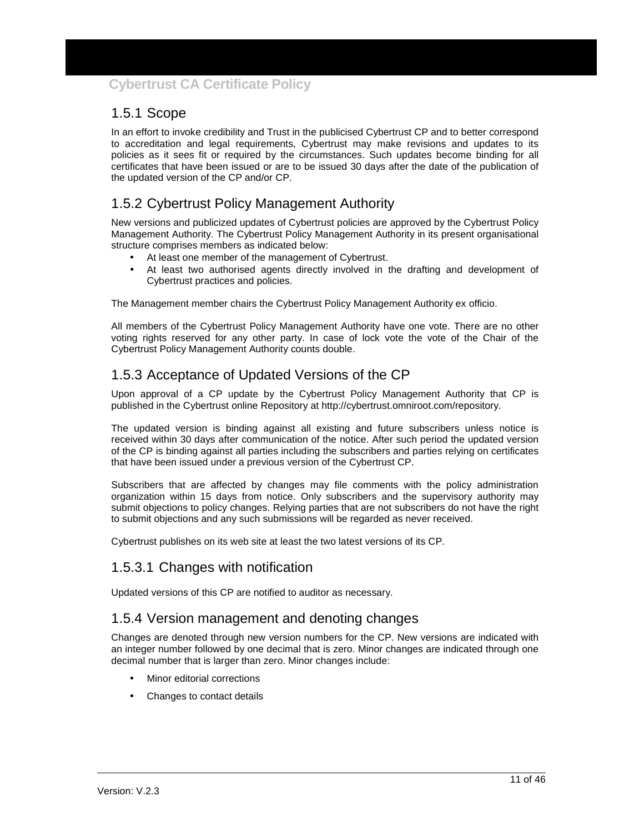## 1.5.1 Scope

In an effort to invoke credibility and Trust in the publicised Cybertrust CP and to better correspond to accreditation and legal requirements, Cybertrust may make revisions and updates to its policies as it sees fit or required by the circumstances. Such updates become binding for all certificates that have been issued or are to be issued 30 days after the date of the publication of the updated version of the CP and/or CP.

## 1.5.2 Cybertrust Policy Management Authority

New versions and publicized updates of Cybertrust policies are approved by the Cybertrust Policy Management Authority. The Cybertrust Policy Management Authority in its present organisational structure comprises members as indicated below:

- At least one member of the management of Cybertrust.
- At least two authorised agents directly involved in the drafting and development of Cybertrust practices and policies.

The Management member chairs the Cybertrust Policy Management Authority ex officio.

All members of the Cybertrust Policy Management Authority have one vote. There are no other voting rights reserved for any other party. In case of lock vote the vote of the Chair of the Cybertrust Policy Management Authority counts double.

## 1.5.3 Acceptance of Updated Versions of the CP

Upon approval of a CP update by the Cybertrust Policy Management Authority that CP is published in the Cybertrust online Repository at http://cybertrust.omniroot.com/repository.

The updated version is binding against all existing and future subscribers unless notice is received within 30 days after communication of the notice. After such period the updated version of the CP is binding against all parties including the subscribers and parties relying on certificates that have been issued under a previous version of the Cybertrust CP.

Subscribers that are affected by changes may file comments with the policy administration organization within 15 days from notice. Only subscribers and the supervisory authority may submit objections to policy changes. Relying parties that are not subscribers do not have the right to submit objections and any such submissions will be regarded as never received.

Cybertrust publishes on its web site at least the two latest versions of its CP.

## 1.5.3.1 Changes with notification

Updated versions of this CP are notified to auditor as necessary.

#### 1.5.4 Version management and denoting changes

Changes are denoted through new version numbers for the CP. New versions are indicated with an integer number followed by one decimal that is zero. Minor changes are indicated through one decimal number that is larger than zero. Minor changes include:

- Minor editorial corrections
- Changes to contact details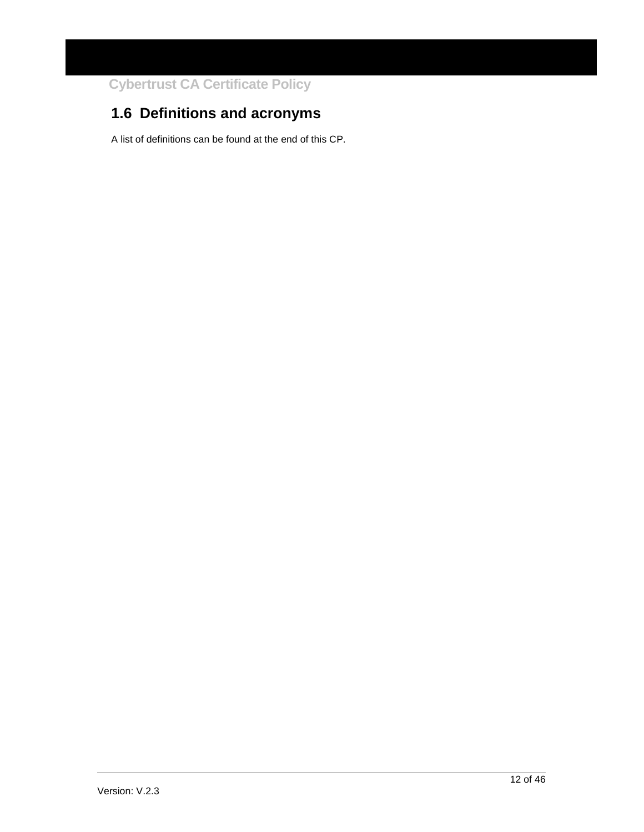## **1.6 Definitions and acronyms**

A list of definitions can be found at the end of this CP.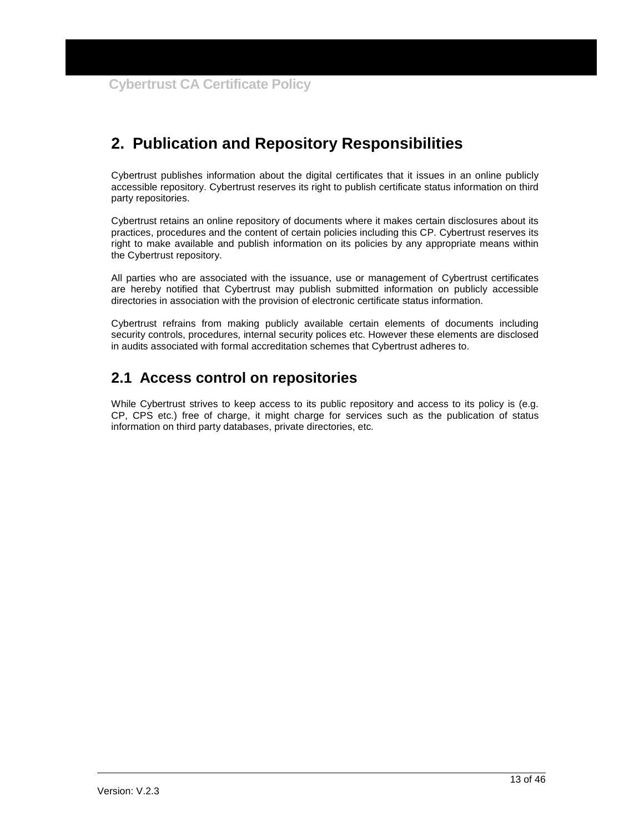## **2. Publication and Repository Responsibilities**

Cybertrust publishes information about the digital certificates that it issues in an online publicly accessible repository. Cybertrust reserves its right to publish certificate status information on third party repositories.

Cybertrust retains an online repository of documents where it makes certain disclosures about its practices, procedures and the content of certain policies including this CP. Cybertrust reserves its right to make available and publish information on its policies by any appropriate means within the Cybertrust repository.

All parties who are associated with the issuance, use or management of Cybertrust certificates are hereby notified that Cybertrust may publish submitted information on publicly accessible directories in association with the provision of electronic certificate status information.

Cybertrust refrains from making publicly available certain elements of documents including security controls, procedures, internal security polices etc. However these elements are disclosed in audits associated with formal accreditation schemes that Cybertrust adheres to.

## **2.1 Access control on repositories**

While Cybertrust strives to keep access to its public repository and access to its policy is (e.g. CP, CPS etc.) free of charge, it might charge for services such as the publication of status information on third party databases, private directories, etc.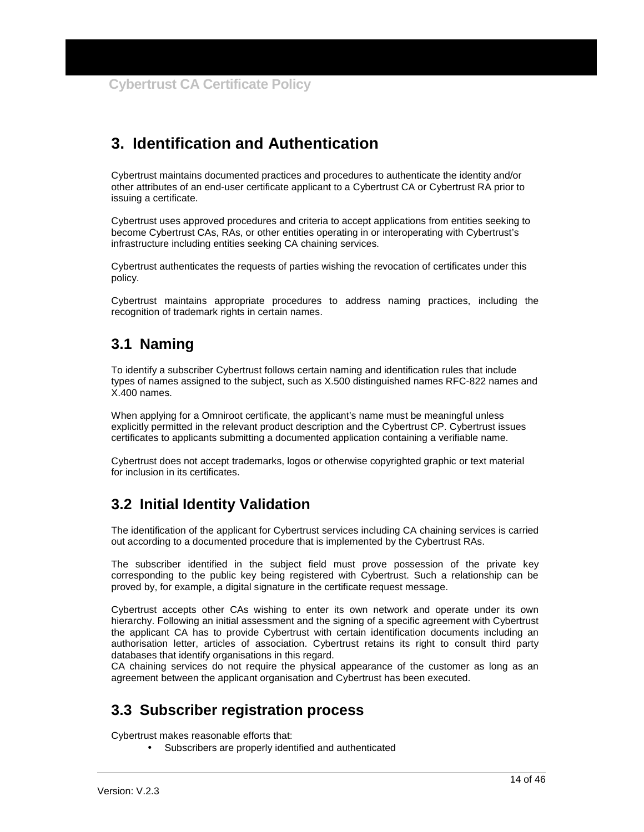## **3. Identification and Authentication**

Cybertrust maintains documented practices and procedures to authenticate the identity and/or other attributes of an end-user certificate applicant to a Cybertrust CA or Cybertrust RA prior to issuing a certificate.

Cybertrust uses approved procedures and criteria to accept applications from entities seeking to become Cybertrust CAs, RAs, or other entities operating in or interoperating with Cybertrust's infrastructure including entities seeking CA chaining services.

Cybertrust authenticates the requests of parties wishing the revocation of certificates under this policy.

Cybertrust maintains appropriate procedures to address naming practices, including the recognition of trademark rights in certain names.

## **3.1 Naming**

To identify a subscriber Cybertrust follows certain naming and identification rules that include types of names assigned to the subject, such as X.500 distinguished names RFC-822 names and X.400 names.

When applying for a Omniroot certificate, the applicant's name must be meaningful unless explicitly permitted in the relevant product description and the Cybertrust CP. Cybertrust issues certificates to applicants submitting a documented application containing a verifiable name.

Cybertrust does not accept trademarks, logos or otherwise copyrighted graphic or text material for inclusion in its certificates.

## **3.2 Initial Identity Validation**

The identification of the applicant for Cybertrust services including CA chaining services is carried out according to a documented procedure that is implemented by the Cybertrust RAs.

The subscriber identified in the subject field must prove possession of the private key corresponding to the public key being registered with Cybertrust. Such a relationship can be proved by, for example, a digital signature in the certificate request message.

Cybertrust accepts other CAs wishing to enter its own network and operate under its own hierarchy. Following an initial assessment and the signing of a specific agreement with Cybertrust the applicant CA has to provide Cybertrust with certain identification documents including an authorisation letter, articles of association. Cybertrust retains its right to consult third party databases that identify organisations in this regard.

CA chaining services do not require the physical appearance of the customer as long as an agreement between the applicant organisation and Cybertrust has been executed.

## **3.3 Subscriber registration process**

Cybertrust makes reasonable efforts that:

• Subscribers are properly identified and authenticated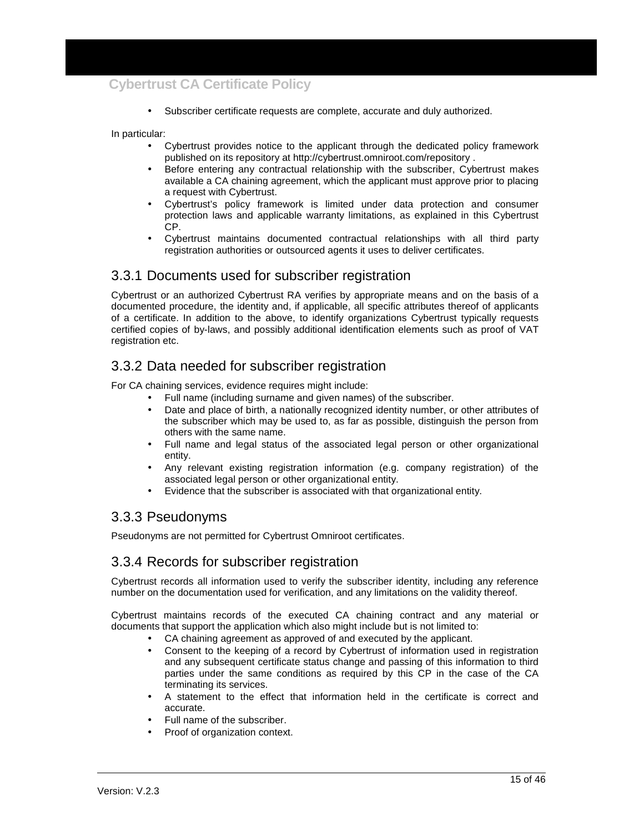• Subscriber certificate requests are complete, accurate and duly authorized.

In particular:

- Cybertrust provides notice to the applicant through the dedicated policy framework published on its repository at http://cybertrust.omniroot.com/repository .
- Before entering any contractual relationship with the subscriber, Cybertrust makes available a CA chaining agreement, which the applicant must approve prior to placing a request with Cybertrust.
- Cybertrust's policy framework is limited under data protection and consumer protection laws and applicable warranty limitations, as explained in this Cybertrust CP.
- Cybertrust maintains documented contractual relationships with all third party registration authorities or outsourced agents it uses to deliver certificates.

#### 3.3.1 Documents used for subscriber registration

Cybertrust or an authorized Cybertrust RA verifies by appropriate means and on the basis of a documented procedure, the identity and, if applicable, all specific attributes thereof of applicants of a certificate. In addition to the above, to identify organizations Cybertrust typically requests certified copies of by-laws, and possibly additional identification elements such as proof of VAT registration etc.

### 3.3.2 Data needed for subscriber registration

For CA chaining services, evidence requires might include:

- Full name (including surname and given names) of the subscriber.
- Date and place of birth, a nationally recognized identity number, or other attributes of the subscriber which may be used to, as far as possible, distinguish the person from others with the same name.
- Full name and legal status of the associated legal person or other organizational entity.
- Any relevant existing registration information (e.g. company registration) of the associated legal person or other organizational entity.
- Evidence that the subscriber is associated with that organizational entity.

#### 3.3.3 Pseudonyms

Pseudonyms are not permitted for Cybertrust Omniroot certificates.

#### 3.3.4 Records for subscriber registration

Cybertrust records all information used to verify the subscriber identity, including any reference number on the documentation used for verification, and any limitations on the validity thereof.

Cybertrust maintains records of the executed CA chaining contract and any material or documents that support the application which also might include but is not limited to:

- CA chaining agreement as approved of and executed by the applicant.
- Consent to the keeping of a record by Cybertrust of information used in registration and any subsequent certificate status change and passing of this information to third parties under the same conditions as required by this CP in the case of the CA terminating its services.
- A statement to the effect that information held in the certificate is correct and accurate.
- Full name of the subscriber.
- Proof of organization context.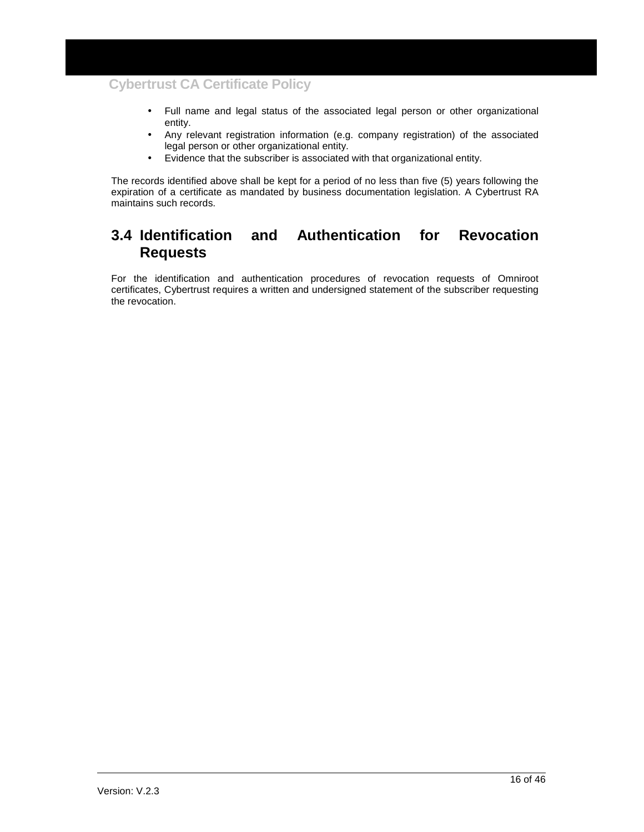- Full name and legal status of the associated legal person or other organizational entity.
- Any relevant registration information (e.g. company registration) of the associated legal person or other organizational entity.
- Evidence that the subscriber is associated with that organizational entity.

The records identified above shall be kept for a period of no less than five (5) years following the expiration of a certificate as mandated by business documentation legislation. A Cybertrust RA maintains such records.

## **3.4 Identification and Authentication for Revocation Requests**

For the identification and authentication procedures of revocation requests of Omniroot certificates, Cybertrust requires a written and undersigned statement of the subscriber requesting the revocation.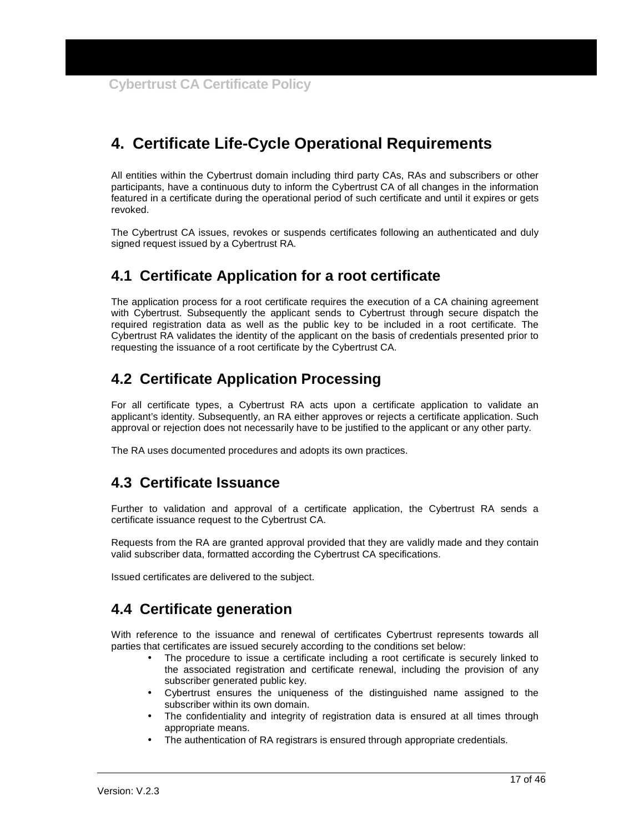## **4. Certificate Life-Cycle Operational Requirements**

All entities within the Cybertrust domain including third party CAs, RAs and subscribers or other participants, have a continuous duty to inform the Cybertrust CA of all changes in the information featured in a certificate during the operational period of such certificate and until it expires or gets revoked.

The Cybertrust CA issues, revokes or suspends certificates following an authenticated and duly signed request issued by a Cybertrust RA.

## **4.1 Certificate Application for a root certificate**

The application process for a root certificate requires the execution of a CA chaining agreement with Cybertrust. Subsequently the applicant sends to Cybertrust through secure dispatch the required registration data as well as the public key to be included in a root certificate. The Cybertrust RA validates the identity of the applicant on the basis of credentials presented prior to requesting the issuance of a root certificate by the Cybertrust CA.

## **4.2 Certificate Application Processing**

For all certificate types, a Cybertrust RA acts upon a certificate application to validate an applicant's identity. Subsequently, an RA either approves or rejects a certificate application. Such approval or rejection does not necessarily have to be justified to the applicant or any other party.

The RA uses documented procedures and adopts its own practices.

## **4.3 Certificate Issuance**

Further to validation and approval of a certificate application, the Cybertrust RA sends a certificate issuance request to the Cybertrust CA.

Requests from the RA are granted approval provided that they are validly made and they contain valid subscriber data, formatted according the Cybertrust CA specifications.

Issued certificates are delivered to the subject.

## **4.4 Certificate generation**

With reference to the issuance and renewal of certificates Cybertrust represents towards all parties that certificates are issued securely according to the conditions set below:

- The procedure to issue a certificate including a root certificate is securely linked to the associated registration and certificate renewal, including the provision of any subscriber generated public key.
- Cybertrust ensures the uniqueness of the distinguished name assigned to the subscriber within its own domain.
- The confidentiality and integrity of registration data is ensured at all times through appropriate means.
- The authentication of RA registrars is ensured through appropriate credentials.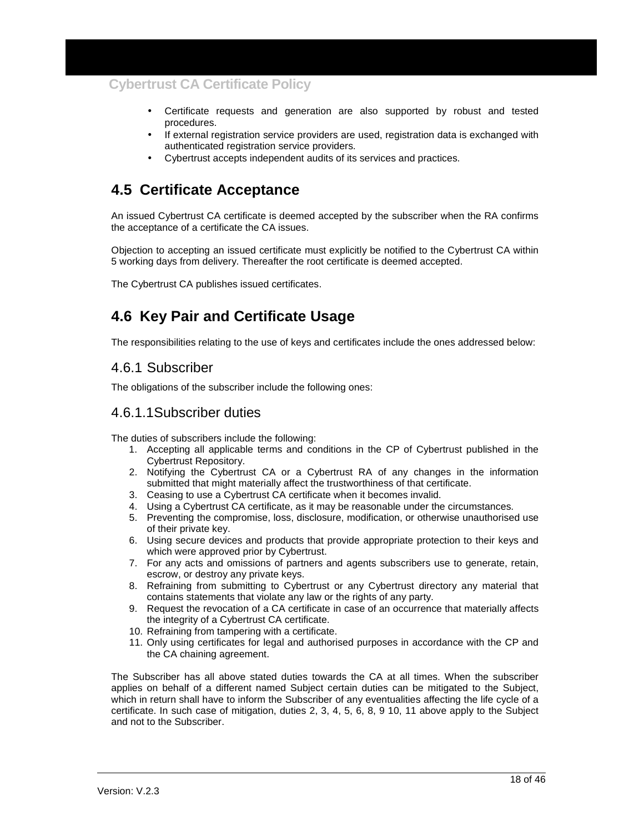- Certificate requests and generation are also supported by robust and tested procedures.
- If external registration service providers are used, registration data is exchanged with authenticated registration service providers.
- Cybertrust accepts independent audits of its services and practices.

## **4.5 Certificate Acceptance**

An issued Cybertrust CA certificate is deemed accepted by the subscriber when the RA confirms the acceptance of a certificate the CA issues.

Objection to accepting an issued certificate must explicitly be notified to the Cybertrust CA within 5 working days from delivery. Thereafter the root certificate is deemed accepted.

The Cybertrust CA publishes issued certificates.

## **4.6 Key Pair and Certificate Usage**

The responsibilities relating to the use of keys and certificates include the ones addressed below:

#### 4.6.1 Subscriber

The obligations of the subscriber include the following ones:

#### 4.6.1.1 Subscriber duties

The duties of subscribers include the following:

- 1. Accepting all applicable terms and conditions in the CP of Cybertrust published in the Cybertrust Repository.
- 2. Notifying the Cybertrust CA or a Cybertrust RA of any changes in the information submitted that might materially affect the trustworthiness of that certificate.
- 3. Ceasing to use a Cybertrust CA certificate when it becomes invalid.
- 4. Using a Cybertrust CA certificate, as it may be reasonable under the circumstances.
- 5. Preventing the compromise, loss, disclosure, modification, or otherwise unauthorised use of their private key.
- 6. Using secure devices and products that provide appropriate protection to their keys and which were approved prior by Cybertrust.
- 7. For any acts and omissions of partners and agents subscribers use to generate, retain, escrow, or destroy any private keys.
- 8. Refraining from submitting to Cybertrust or any Cybertrust directory any material that contains statements that violate any law or the rights of any party.
- 9. Request the revocation of a CA certificate in case of an occurrence that materially affects the integrity of a Cybertrust CA certificate.
- 10. Refraining from tampering with a certificate.
- 11. Only using certificates for legal and authorised purposes in accordance with the CP and the CA chaining agreement.

The Subscriber has all above stated duties towards the CA at all times. When the subscriber applies on behalf of a different named Subject certain duties can be mitigated to the Subject, which in return shall have to inform the Subscriber of any eventualities affecting the life cycle of a certificate. In such case of mitigation, duties 2, 3, 4, 5, 6, 8, 9 10, 11 above apply to the Subject and not to the Subscriber.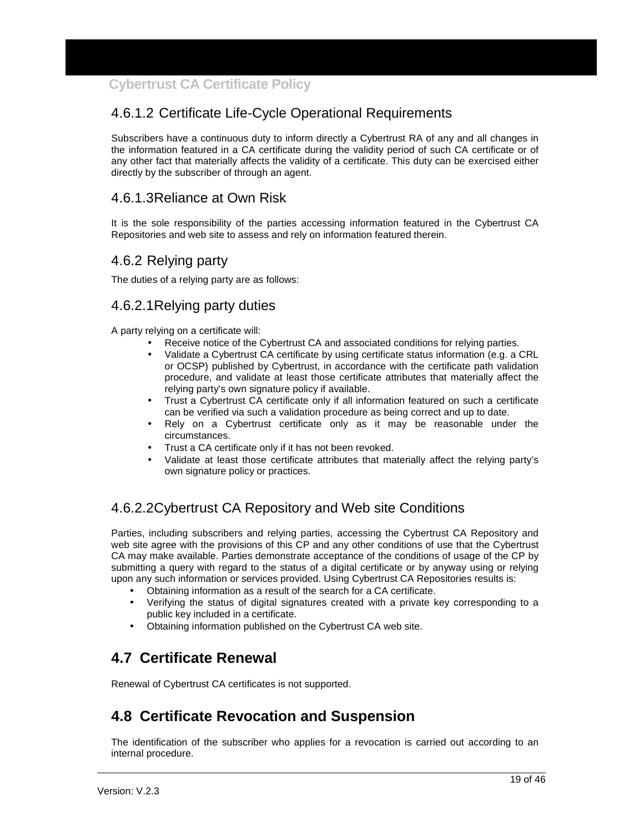## 4.6.1.2 Certificate Life-Cycle Operational Requirements

Subscribers have a continuous duty to inform directly a Cybertrust RA of any and all changes in the information featured in a CA certificate during the validity period of such CA certificate or of any other fact that materially affects the validity of a certificate. This duty can be exercised either directly by the subscriber of through an agent.

## 4.6.1.3 Reliance at Own Risk

It is the sole responsibility of the parties accessing information featured in the Cybertrust CA Repositories and web site to assess and rely on information featured therein.

#### 4.6.2 Relying party

The duties of a relying party are as follows:

### 4.6.2.1 Relying party duties

A party relying on a certificate will:

- Receive notice of the Cybertrust CA and associated conditions for relying parties.
- Validate a Cybertrust CA certificate by using certificate status information (e.g. a CRL or OCSP) published by Cybertrust, in accordance with the certificate path validation procedure, and validate at least those certificate attributes that materially affect the relying party's own signature policy if available.
- Trust a Cybertrust CA certificate only if all information featured on such a certificate can be verified via such a validation procedure as being correct and up to date.
- Rely on a Cybertrust certificate only as it may be reasonable under the circumstances.
- Trust a CA certificate only if it has not been revoked.
- Validate at least those certificate attributes that materially affect the relying party's own signature policy or practices.

## 4.6.2.2 Cybertrust CA Repository and Web site Conditions

Parties, including subscribers and relying parties, accessing the Cybertrust CA Repository and web site agree with the provisions of this CP and any other conditions of use that the Cybertrust CA may make available. Parties demonstrate acceptance of the conditions of usage of the CP by submitting a query with regard to the status of a digital certificate or by anyway using or relying upon any such information or services provided. Using Cybertrust CA Repositories results is:

- Obtaining information as a result of the search for a CA certificate.
- Verifying the status of digital signatures created with a private key corresponding to a public key included in a certificate.
- Obtaining information published on the Cybertrust CA web site.

## **4.7 Certificate Renewal**

Renewal of Cybertrust CA certificates is not supported.

## **4.8 Certificate Revocation and Suspension**

The identification of the subscriber who applies for a revocation is carried out according to an internal procedure.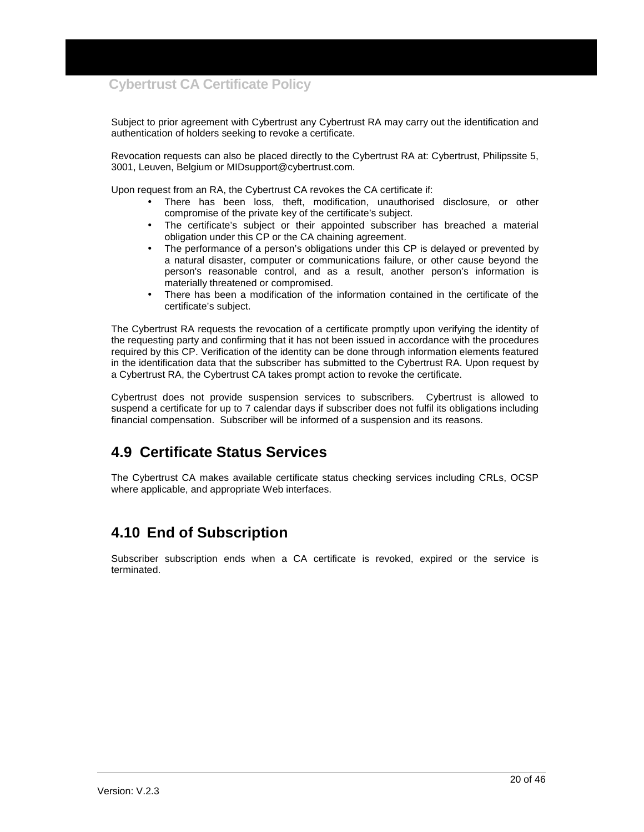Subject to prior agreement with Cybertrust any Cybertrust RA may carry out the identification and authentication of holders seeking to revoke a certificate.

Revocation requests can also be placed directly to the Cybertrust RA at: Cybertrust, Philipssite 5, 3001, Leuven, Belgium or MIDsupport@cybertrust.com.

Upon request from an RA, the Cybertrust CA revokes the CA certificate if:

- There has been loss, theft, modification, unauthorised disclosure, or other compromise of the private key of the certificate's subject.
- The certificate's subject or their appointed subscriber has breached a material obligation under this CP or the CA chaining agreement.
- The performance of a person's obligations under this CP is delayed or prevented by a natural disaster, computer or communications failure, or other cause beyond the person's reasonable control, and as a result, another person's information is materially threatened or compromised.
- There has been a modification of the information contained in the certificate of the certificate's subject.

The Cybertrust RA requests the revocation of a certificate promptly upon verifying the identity of the requesting party and confirming that it has not been issued in accordance with the procedures required by this CP. Verification of the identity can be done through information elements featured in the identification data that the subscriber has submitted to the Cybertrust RA. Upon request by a Cybertrust RA, the Cybertrust CA takes prompt action to revoke the certificate.

Cybertrust does not provide suspension services to subscribers. Cybertrust is allowed to suspend a certificate for up to 7 calendar days if subscriber does not fulfil its obligations including financial compensation. Subscriber will be informed of a suspension and its reasons.

## **4.9 Certificate Status Services**

The Cybertrust CA makes available certificate status checking services including CRLs, OCSP where applicable, and appropriate Web interfaces.

## **4.10 End of Subscription**

Subscriber subscription ends when a CA certificate is revoked, expired or the service is terminated.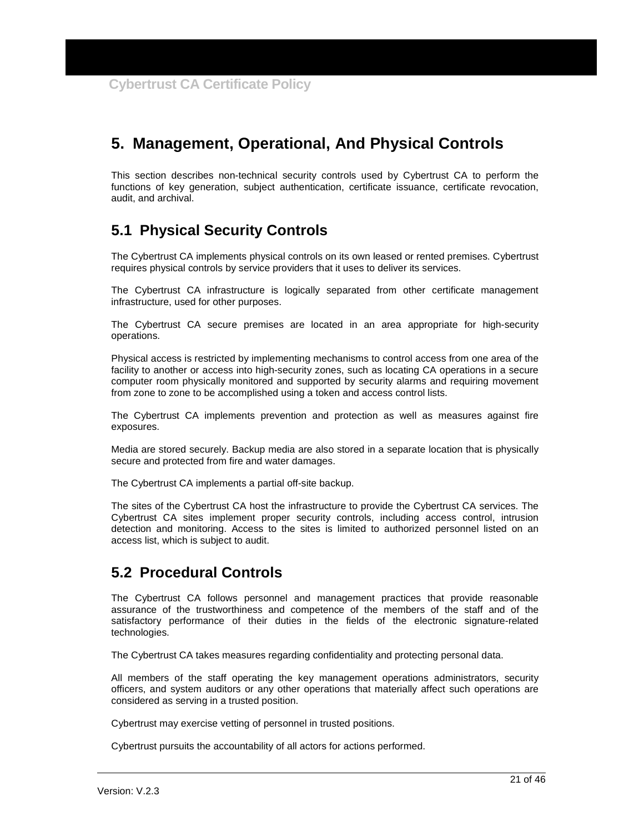## **5. Management, Operational, And Physical Controls**

This section describes non-technical security controls used by Cybertrust CA to perform the functions of key generation, subject authentication, certificate issuance, certificate revocation, audit, and archival.

## **5.1 Physical Security Controls**

The Cybertrust CA implements physical controls on its own leased or rented premises. Cybertrust requires physical controls by service providers that it uses to deliver its services.

The Cybertrust CA infrastructure is logically separated from other certificate management infrastructure, used for other purposes.

The Cybertrust CA secure premises are located in an area appropriate for high-security operations.

Physical access is restricted by implementing mechanisms to control access from one area of the facility to another or access into high-security zones, such as locating CA operations in a secure computer room physically monitored and supported by security alarms and requiring movement from zone to zone to be accomplished using a token and access control lists.

The Cybertrust CA implements prevention and protection as well as measures against fire exposures.

Media are stored securely. Backup media are also stored in a separate location that is physically secure and protected from fire and water damages.

The Cybertrust CA implements a partial off-site backup.

The sites of the Cybertrust CA host the infrastructure to provide the Cybertrust CA services. The Cybertrust CA sites implement proper security controls, including access control, intrusion detection and monitoring. Access to the sites is limited to authorized personnel listed on an access list, which is subject to audit.

## **5.2 Procedural Controls**

The Cybertrust CA follows personnel and management practices that provide reasonable assurance of the trustworthiness and competence of the members of the staff and of the satisfactory performance of their duties in the fields of the electronic signature-related technologies.

The Cybertrust CA takes measures regarding confidentiality and protecting personal data.

All members of the staff operating the key management operations administrators, security officers, and system auditors or any other operations that materially affect such operations are considered as serving in a trusted position.

Cybertrust may exercise vetting of personnel in trusted positions.

Cybertrust pursuits the accountability of all actors for actions performed.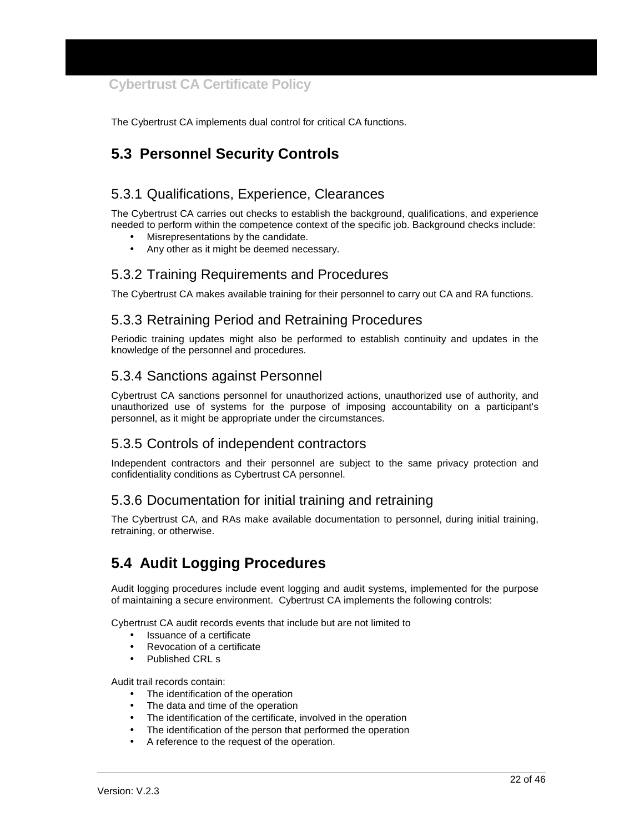The Cybertrust CA implements dual control for critical CA functions.

## **5.3 Personnel Security Controls**

### 5.3.1 Qualifications, Experience, Clearances

The Cybertrust CA carries out checks to establish the background, qualifications, and experience needed to perform within the competence context of the specific job. Background checks include:

- Misrepresentations by the candidate.
- Any other as it might be deemed necessary.

#### 5.3.2 Training Requirements and Procedures

The Cybertrust CA makes available training for their personnel to carry out CA and RA functions.

### 5.3.3 Retraining Period and Retraining Procedures

Periodic training updates might also be performed to establish continuity and updates in the knowledge of the personnel and procedures.

#### 5.3.4 Sanctions against Personnel

Cybertrust CA sanctions personnel for unauthorized actions, unauthorized use of authority, and unauthorized use of systems for the purpose of imposing accountability on a participant's personnel, as it might be appropriate under the circumstances.

### 5.3.5 Controls of independent contractors

Independent contractors and their personnel are subject to the same privacy protection and confidentiality conditions as Cybertrust CA personnel.

#### 5.3.6 Documentation for initial training and retraining

The Cybertrust CA, and RAs make available documentation to personnel, during initial training, retraining, or otherwise.

## **5.4 Audit Logging Procedures**

Audit logging procedures include event logging and audit systems, implemented for the purpose of maintaining a secure environment. Cybertrust CA implements the following controls:

Cybertrust CA audit records events that include but are not limited to

- Issuance of a certificate
- Revocation of a certificate
- Published CRL s

Audit trail records contain:

- The identification of the operation
- The data and time of the operation
- The identification of the certificate, involved in the operation
- The identification of the person that performed the operation
- A reference to the request of the operation.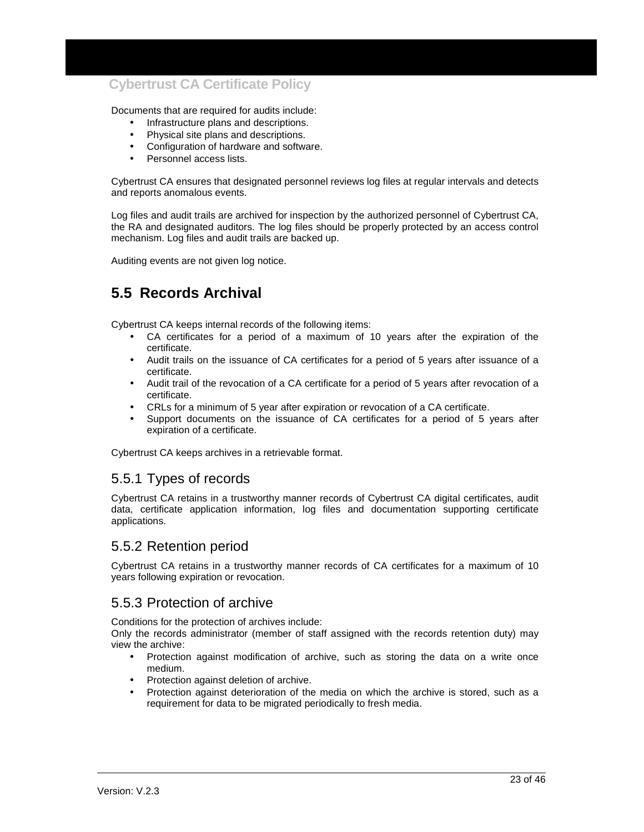Documents that are required for audits include:

- Infrastructure plans and descriptions.
- Physical site plans and descriptions.
- Configuration of hardware and software.
- Personnel access lists.

Cybertrust CA ensures that designated personnel reviews log files at regular intervals and detects and reports anomalous events.

Log files and audit trails are archived for inspection by the authorized personnel of Cybertrust CA, the RA and designated auditors. The log files should be properly protected by an access control mechanism. Log files and audit trails are backed up.

Auditing events are not given log notice.

## **5.5 Records Archival**

Cybertrust CA keeps internal records of the following items:

- CA certificates for a period of a maximum of 10 years after the expiration of the certificate.
- Audit trails on the issuance of CA certificates for a period of 5 years after issuance of a certificate.
- Audit trail of the revocation of a CA certificate for a period of 5 years after revocation of a certificate.
- CRLs for a minimum of 5 year after expiration or revocation of a CA certificate.
- Support documents on the issuance of CA certificates for a period of 5 years after expiration of a certificate.

Cybertrust CA keeps archives in a retrievable format.

#### 5.5.1 Types of records

Cybertrust CA retains in a trustworthy manner records of Cybertrust CA digital certificates, audit data, certificate application information, log files and documentation supporting certificate applications.

#### 5.5.2 Retention period

Cybertrust CA retains in a trustworthy manner records of CA certificates for a maximum of 10 years following expiration or revocation.

#### 5.5.3 Protection of archive

Conditions for the protection of archives include:

Only the records administrator (member of staff assigned with the records retention duty) may view the archive:

- Protection against modification of archive, such as storing the data on a write once medium.
- Protection against deletion of archive.
- Protection against deterioration of the media on which the archive is stored, such as a requirement for data to be migrated periodically to fresh media.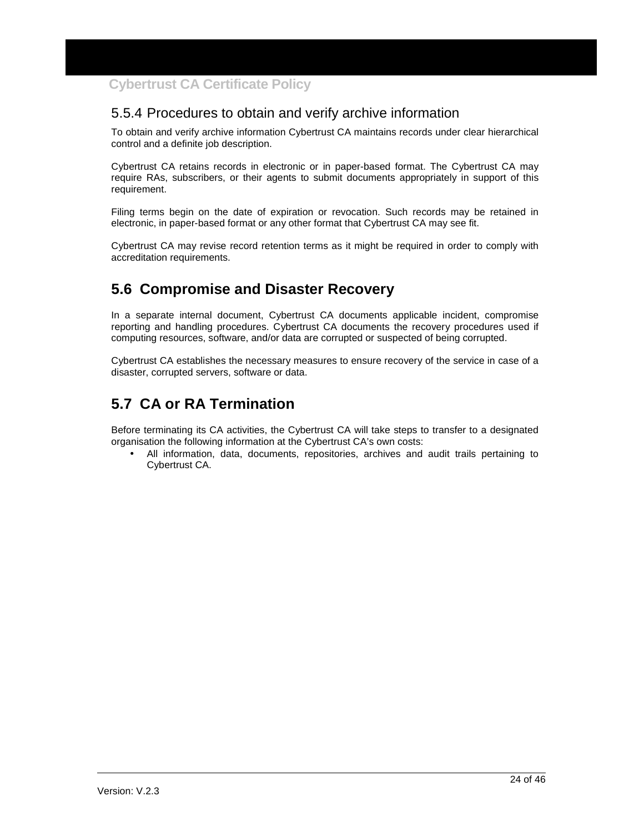### 5.5.4 Procedures to obtain and verify archive information

To obtain and verify archive information Cybertrust CA maintains records under clear hierarchical control and a definite job description.

Cybertrust CA retains records in electronic or in paper-based format. The Cybertrust CA may require RAs, subscribers, or their agents to submit documents appropriately in support of this requirement.

Filing terms begin on the date of expiration or revocation. Such records may be retained in electronic, in paper-based format or any other format that Cybertrust CA may see fit.

Cybertrust CA may revise record retention terms as it might be required in order to comply with accreditation requirements.

## **5.6 Compromise and Disaster Recovery**

In a separate internal document, Cybertrust CA documents applicable incident, compromise reporting and handling procedures. Cybertrust CA documents the recovery procedures used if computing resources, software, and/or data are corrupted or suspected of being corrupted.

Cybertrust CA establishes the necessary measures to ensure recovery of the service in case of a disaster, corrupted servers, software or data.

## **5.7 CA or RA Termination**

Before terminating its CA activities, the Cybertrust CA will take steps to transfer to a designated organisation the following information at the Cybertrust CA's own costs:

• All information, data, documents, repositories, archives and audit trails pertaining to Cybertrust CA.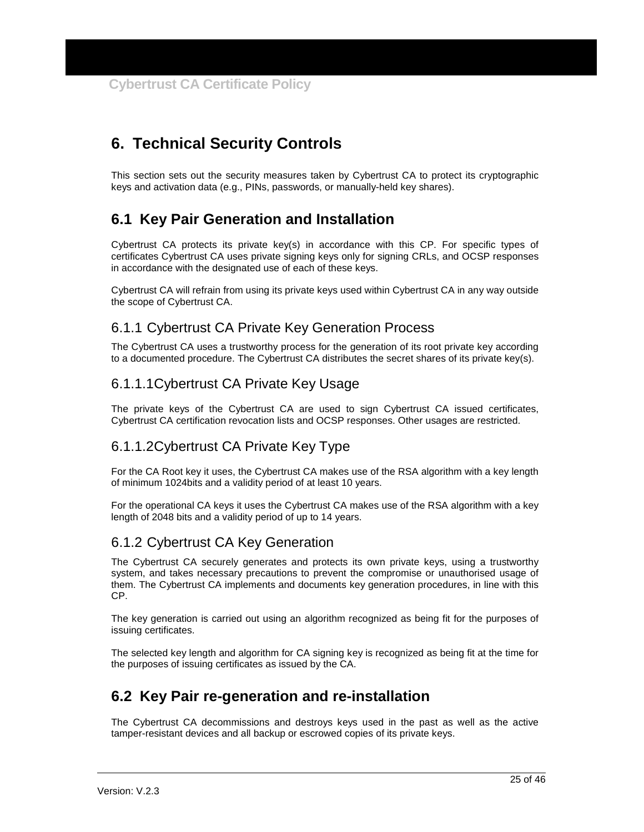## **6. Technical Security Controls**

This section sets out the security measures taken by Cybertrust CA to protect its cryptographic keys and activation data (e.g., PINs, passwords, or manually-held key shares).

## **6.1 Key Pair Generation and Installation**

Cybertrust CA protects its private key(s) in accordance with this CP. For specific types of certificates Cybertrust CA uses private signing keys only for signing CRLs, and OCSP responses in accordance with the designated use of each of these keys.

Cybertrust CA will refrain from using its private keys used within Cybertrust CA in any way outside the scope of Cybertrust CA.

## 6.1.1 Cybertrust CA Private Key Generation Process

The Cybertrust CA uses a trustworthy process for the generation of its root private key according to a documented procedure. The Cybertrust CA distributes the secret shares of its private key(s).

### 6.1.1.1 Cybertrust CA Private Key Usage

The private keys of the Cybertrust CA are used to sign Cybertrust CA issued certificates, Cybertrust CA certification revocation lists and OCSP responses. Other usages are restricted.

## 6.1.1.2 Cybertrust CA Private Key Type

For the CA Root key it uses, the Cybertrust CA makes use of the RSA algorithm with a key length of minimum 1024bits and a validity period of at least 10 years.

For the operational CA keys it uses the Cybertrust CA makes use of the RSA algorithm with a key length of 2048 bits and a validity period of up to 14 years.

### 6.1.2 Cybertrust CA Key Generation

The Cybertrust CA securely generates and protects its own private keys, using a trustworthy system, and takes necessary precautions to prevent the compromise or unauthorised usage of them. The Cybertrust CA implements and documents key generation procedures, in line with this CP.

The key generation is carried out using an algorithm recognized as being fit for the purposes of issuing certificates.

The selected key length and algorithm for CA signing key is recognized as being fit at the time for the purposes of issuing certificates as issued by the CA.

## **6.2 Key Pair re-generation and re-installation**

The Cybertrust CA decommissions and destroys keys used in the past as well as the active tamper-resistant devices and all backup or escrowed copies of its private keys.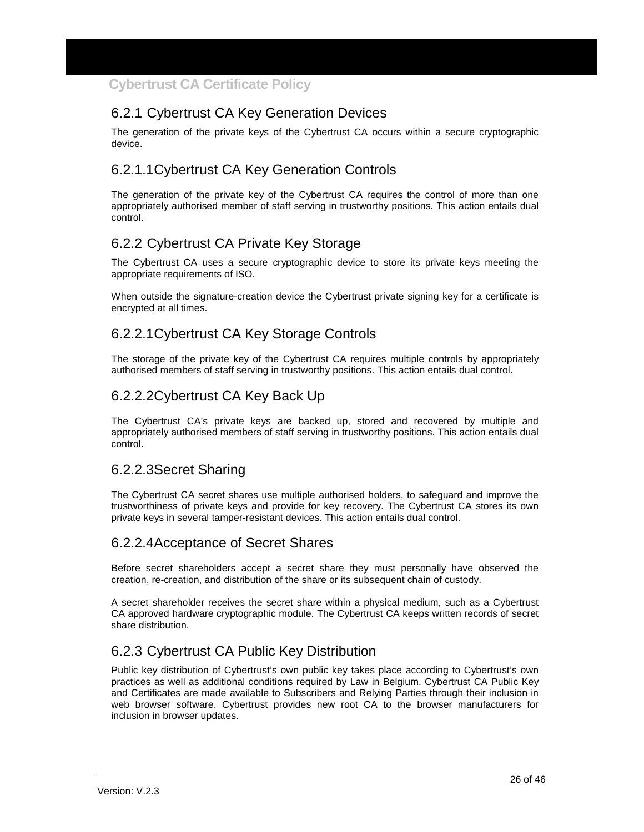## 6.2.1 Cybertrust CA Key Generation Devices

The generation of the private keys of the Cybertrust CA occurs within a secure cryptographic device.

## 6.2.1.1 Cybertrust CA Key Generation Controls

The generation of the private key of the Cybertrust CA requires the control of more than one appropriately authorised member of staff serving in trustworthy positions. This action entails dual control.

## 6.2.2 Cybertrust CA Private Key Storage

The Cybertrust CA uses a secure cryptographic device to store its private keys meeting the appropriate requirements of ISO.

When outside the signature-creation device the Cybertrust private signing key for a certificate is encrypted at all times.

## 6.2.2.1 Cybertrust CA Key Storage Controls

The storage of the private key of the Cybertrust CA requires multiple controls by appropriately authorised members of staff serving in trustworthy positions. This action entails dual control.

### 6.2.2.2 Cybertrust CA Key Back Up

The Cybertrust CA's private keys are backed up, stored and recovered by multiple and appropriately authorised members of staff serving in trustworthy positions. This action entails dual control.

### 6.2.2.3 Secret Sharing

The Cybertrust CA secret shares use multiple authorised holders, to safeguard and improve the trustworthiness of private keys and provide for key recovery. The Cybertrust CA stores its own private keys in several tamper-resistant devices. This action entails dual control.

#### 6.2.2.4 Acceptance of Secret Shares

Before secret shareholders accept a secret share they must personally have observed the creation, re-creation, and distribution of the share or its subsequent chain of custody.

A secret shareholder receives the secret share within a physical medium, such as a Cybertrust CA approved hardware cryptographic module. The Cybertrust CA keeps written records of secret share distribution.

## 6.2.3 Cybertrust CA Public Key Distribution

Public key distribution of Cybertrust's own public key takes place according to Cybertrust's own practices as well as additional conditions required by Law in Belgium. Cybertrust CA Public Key and Certificates are made available to Subscribers and Relying Parties through their inclusion in web browser software. Cybertrust provides new root CA to the browser manufacturers for inclusion in browser updates.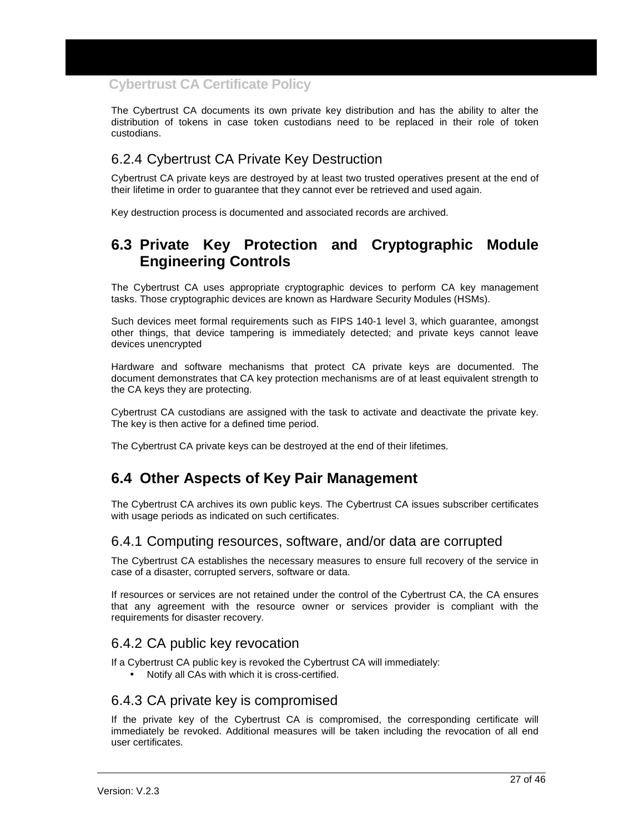The Cybertrust CA documents its own private key distribution and has the ability to alter the distribution of tokens in case token custodians need to be replaced in their role of token custodians.

## 6.2.4 Cybertrust CA Private Key Destruction

Cybertrust CA private keys are destroyed by at least two trusted operatives present at the end of their lifetime in order to guarantee that they cannot ever be retrieved and used again.

Key destruction process is documented and associated records are archived.

## **6.3 Private Key Protection and Cryptographic Module Engineering Controls**

The Cybertrust CA uses appropriate cryptographic devices to perform CA key management tasks. Those cryptographic devices are known as Hardware Security Modules (HSMs).

Such devices meet formal requirements such as FIPS 140-1 level 3, which guarantee, amongst other things, that device tampering is immediately detected; and private keys cannot leave devices unencrypted

Hardware and software mechanisms that protect CA private keys are documented. The document demonstrates that CA key protection mechanisms are of at least equivalent strength to the CA keys they are protecting.

Cybertrust CA custodians are assigned with the task to activate and deactivate the private key. The key is then active for a defined time period.

The Cybertrust CA private keys can be destroyed at the end of their lifetimes.

## **6.4 Other Aspects of Key Pair Management**

The Cybertrust CA archives its own public keys. The Cybertrust CA issues subscriber certificates with usage periods as indicated on such certificates.

#### 6.4.1 Computing resources, software, and/or data are corrupted

The Cybertrust CA establishes the necessary measures to ensure full recovery of the service in case of a disaster, corrupted servers, software or data.

If resources or services are not retained under the control of the Cybertrust CA, the CA ensures that any agreement with the resource owner or services provider is compliant with the requirements for disaster recovery.

#### 6.4.2 CA public key revocation

If a Cybertrust CA public key is revoked the Cybertrust CA will immediately:

• Notify all CAs with which it is cross-certified.

#### 6.4.3 CA private key is compromised

If the private key of the Cybertrust CA is compromised, the corresponding certificate will immediately be revoked. Additional measures will be taken including the revocation of all end user certificates.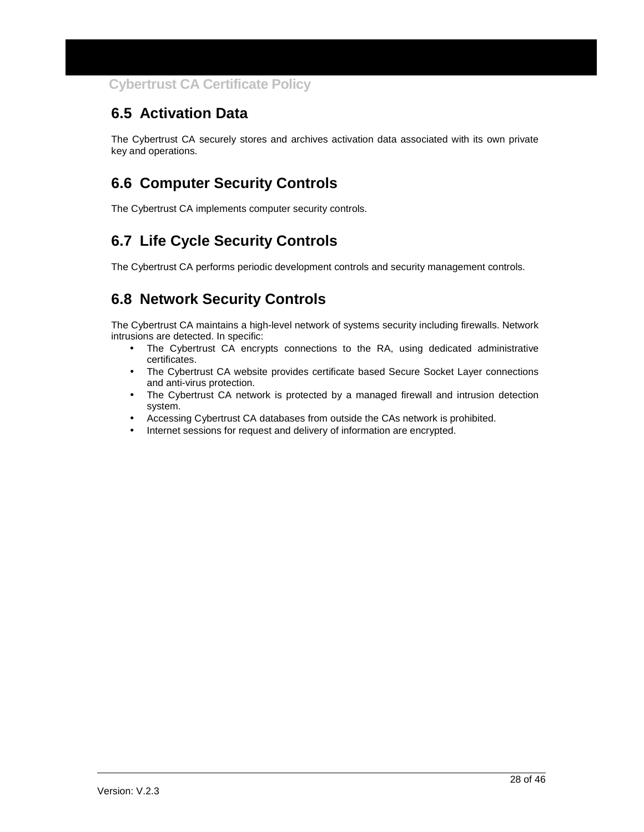## **6.5 Activation Data**

The Cybertrust CA securely stores and archives activation data associated with its own private key and operations.

## **6.6 Computer Security Controls**

The Cybertrust CA implements computer security controls.

## **6.7 Life Cycle Security Controls**

The Cybertrust CA performs periodic development controls and security management controls.

## **6.8 Network Security Controls**

The Cybertrust CA maintains a high-level network of systems security including firewalls. Network intrusions are detected. In specific:

- The Cybertrust CA encrypts connections to the RA, using dedicated administrative certificates.
- The Cybertrust CA website provides certificate based Secure Socket Layer connections and anti-virus protection.
- The Cybertrust CA network is protected by a managed firewall and intrusion detection system.
- Accessing Cybertrust CA databases from outside the CAs network is prohibited.
- Internet sessions for request and delivery of information are encrypted.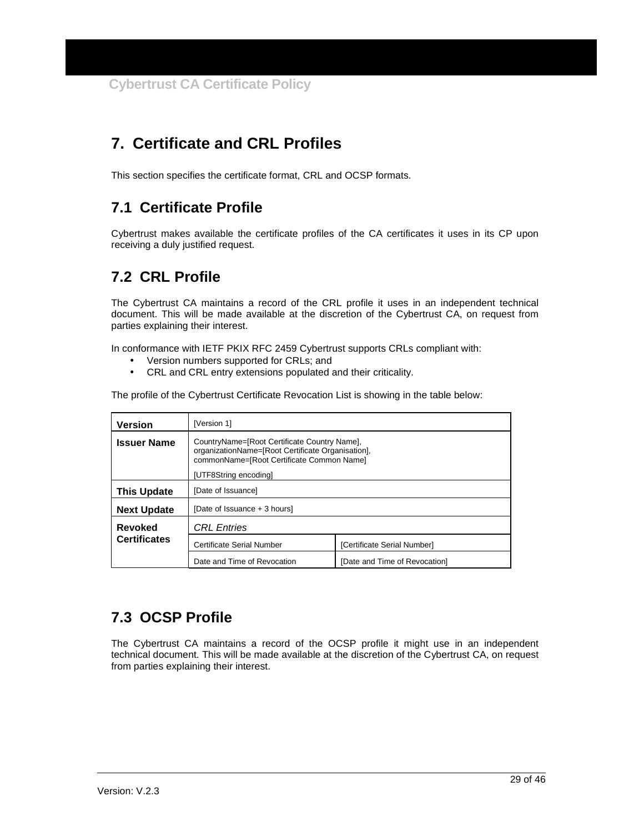## **7. Certificate and CRL Profiles**

This section specifies the certificate format, CRL and OCSP formats.

## **7.1 Certificate Profile**

Cybertrust makes available the certificate profiles of the CA certificates it uses in its CP upon receiving a duly justified request.

## **7.2 CRL Profile**

The Cybertrust CA maintains a record of the CRL profile it uses in an independent technical document. This will be made available at the discretion of the Cybertrust CA, on request from parties explaining their interest.

In conformance with IETF PKIX RFC 2459 Cybertrust supports CRLs compliant with:

- Version numbers supported for CRLs; and
- CRL and CRL entry extensions populated and their criticality.

The profile of the Cybertrust Certificate Revocation List is showing in the table below:

| <b>Version</b>                                                                                                                                                                                | [Version 1]                  |                               |  |
|-----------------------------------------------------------------------------------------------------------------------------------------------------------------------------------------------|------------------------------|-------------------------------|--|
| CountryName=[Root Certificate Country Name],<br><b>Issuer Name</b><br>organizationName=[Root Certificate Organisation],<br>commonName=[Root Certificate Common Name]<br>[UTF8String encoding] |                              |                               |  |
| This Update                                                                                                                                                                                   | [Date of Issuance]           |                               |  |
| <b>Next Update</b>                                                                                                                                                                            | [Date of Issuance + 3 hours] |                               |  |
| <b>Revoked</b>                                                                                                                                                                                | <b>CRL</b> Entries           |                               |  |
| <b>Certificates</b>                                                                                                                                                                           | Certificate Serial Number    | [Certificate Serial Number]   |  |
|                                                                                                                                                                                               | Date and Time of Revocation  | [Date and Time of Revocation] |  |

## **7.3 OCSP Profile**

The Cybertrust CA maintains a record of the OCSP profile it might use in an independent technical document. This will be made available at the discretion of the Cybertrust CA, on request from parties explaining their interest.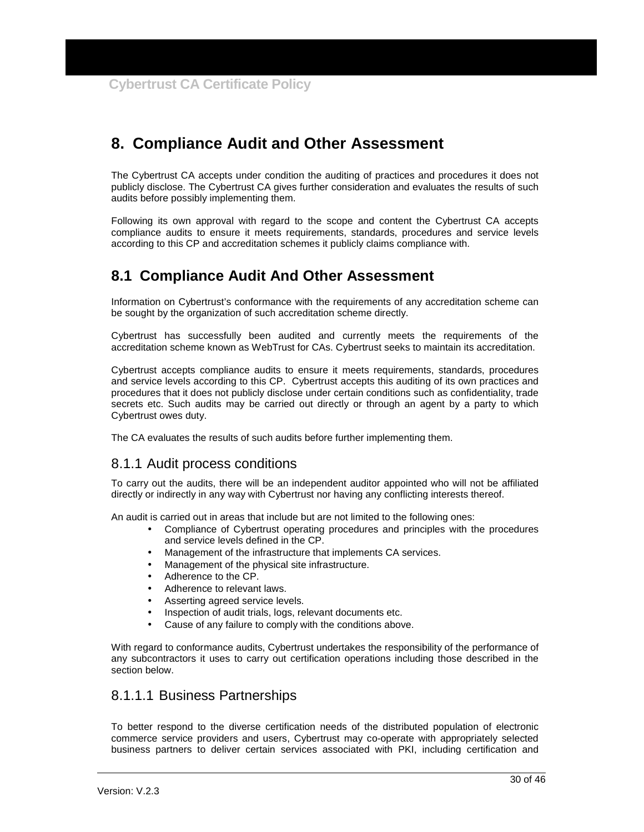## **8. Compliance Audit and Other Assessment**

The Cybertrust CA accepts under condition the auditing of practices and procedures it does not publicly disclose. The Cybertrust CA gives further consideration and evaluates the results of such audits before possibly implementing them.

Following its own approval with regard to the scope and content the Cybertrust CA accepts compliance audits to ensure it meets requirements, standards, procedures and service levels according to this CP and accreditation schemes it publicly claims compliance with.

## **8.1 Compliance Audit And Other Assessment**

Information on Cybertrust's conformance with the requirements of any accreditation scheme can be sought by the organization of such accreditation scheme directly.

Cybertrust has successfully been audited and currently meets the requirements of the accreditation scheme known as WebTrust for CAs. Cybertrust seeks to maintain its accreditation.

Cybertrust accepts compliance audits to ensure it meets requirements, standards, procedures and service levels according to this CP. Cybertrust accepts this auditing of its own practices and procedures that it does not publicly disclose under certain conditions such as confidentiality, trade secrets etc. Such audits may be carried out directly or through an agent by a party to which Cybertrust owes duty.

The CA evaluates the results of such audits before further implementing them.

#### 8.1.1 Audit process conditions

To carry out the audits, there will be an independent auditor appointed who will not be affiliated directly or indirectly in any way with Cybertrust nor having any conflicting interests thereof.

An audit is carried out in areas that include but are not limited to the following ones:

- Compliance of Cybertrust operating procedures and principles with the procedures and service levels defined in the CP.
- Management of the infrastructure that implements CA services.
- Management of the physical site infrastructure.
- Adherence to the CP.
- Adherence to relevant laws.
- Asserting agreed service levels.
- Inspection of audit trials, logs, relevant documents etc.
- Cause of any failure to comply with the conditions above.

With regard to conformance audits, Cybertrust undertakes the responsibility of the performance of any subcontractors it uses to carry out certification operations including those described in the section below.

#### 8.1.1.1 Business Partnerships

To better respond to the diverse certification needs of the distributed population of electronic commerce service providers and users, Cybertrust may co-operate with appropriately selected business partners to deliver certain services associated with PKI, including certification and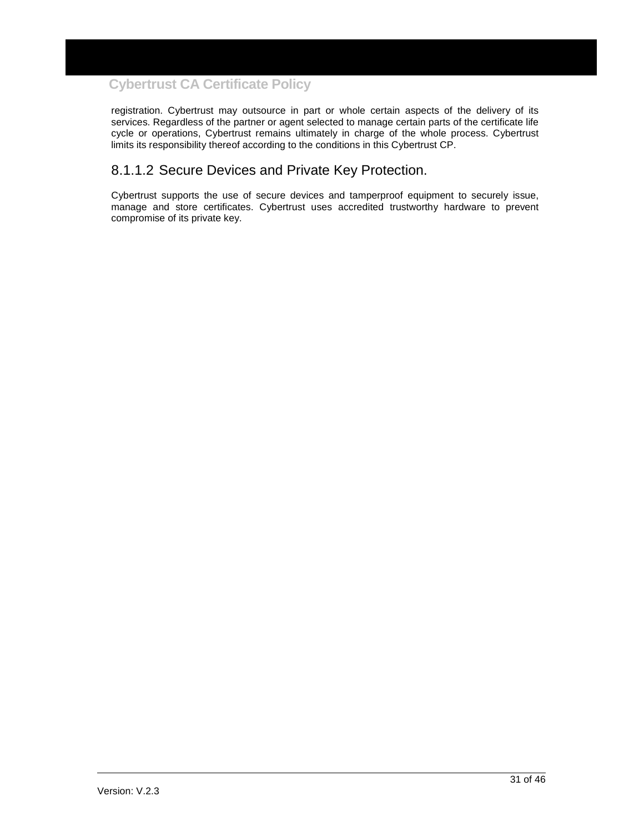registration. Cybertrust may outsource in part or whole certain aspects of the delivery of its services. Regardless of the partner or agent selected to manage certain parts of the certificate life cycle or operations, Cybertrust remains ultimately in charge of the whole process. Cybertrust limits its responsibility thereof according to the conditions in this Cybertrust CP.

### 8.1.1.2 Secure Devices and Private Key Protection.

Cybertrust supports the use of secure devices and tamperproof equipment to securely issue, manage and store certificates. Cybertrust uses accredited trustworthy hardware to prevent compromise of its private key.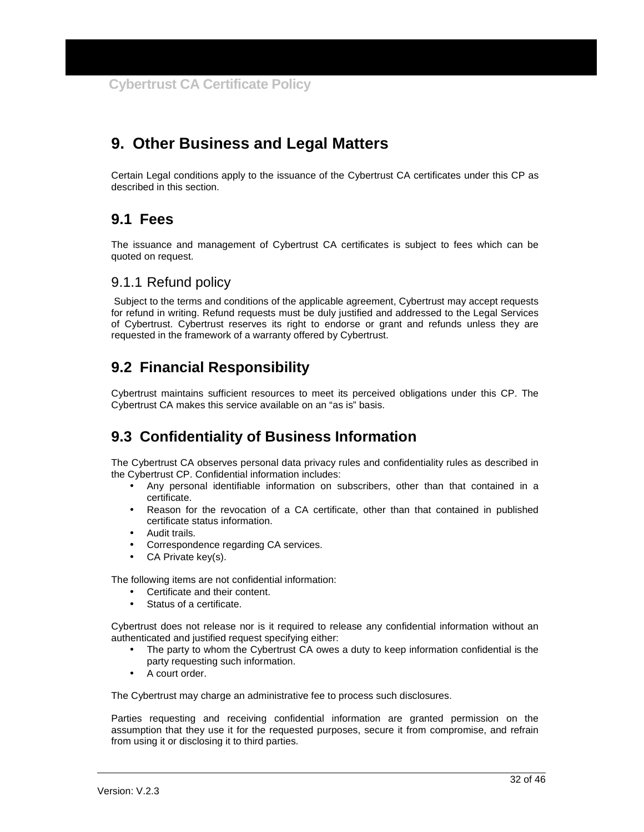## **9. Other Business and Legal Matters**

Certain Legal conditions apply to the issuance of the Cybertrust CA certificates under this CP as described in this section.

## **9.1 Fees**

The issuance and management of Cybertrust CA certificates is subject to fees which can be quoted on request.

### 9.1.1 Refund policy

 Subject to the terms and conditions of the applicable agreement, Cybertrust may accept requests for refund in writing. Refund requests must be duly justified and addressed to the Legal Services of Cybertrust. Cybertrust reserves its right to endorse or grant and refunds unless they are requested in the framework of a warranty offered by Cybertrust.

## **9.2 Financial Responsibility**

Cybertrust maintains sufficient resources to meet its perceived obligations under this CP. The Cybertrust CA makes this service available on an "as is" basis.

## **9.3 Confidentiality of Business Information**

The Cybertrust CA observes personal data privacy rules and confidentiality rules as described in the Cybertrust CP. Confidential information includes:

- Any personal identifiable information on subscribers, other than that contained in a certificate.
- Reason for the revocation of a CA certificate, other than that contained in published certificate status information.
- Audit trails.
- Correspondence regarding CA services.
- CA Private key(s).

The following items are not confidential information:

- Certificate and their content.
- Status of a certificate.

Cybertrust does not release nor is it required to release any confidential information without an authenticated and justified request specifying either:

- The party to whom the Cybertrust CA owes a duty to keep information confidential is the party requesting such information.
- A court order.

The Cybertrust may charge an administrative fee to process such disclosures.

Parties requesting and receiving confidential information are granted permission on the assumption that they use it for the requested purposes, secure it from compromise, and refrain from using it or disclosing it to third parties.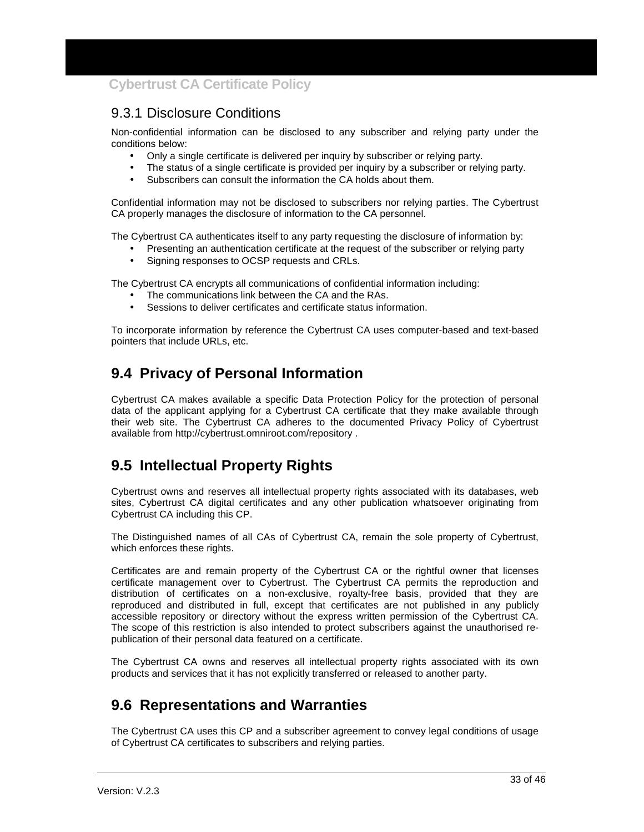## 9.3.1 Disclosure Conditions

Non-confidential information can be disclosed to any subscriber and relying party under the conditions below:

- Only a single certificate is delivered per inquiry by subscriber or relying party.
- The status of a single certificate is provided per inquiry by a subscriber or relying party.
- Subscribers can consult the information the CA holds about them.

Confidential information may not be disclosed to subscribers nor relying parties. The Cybertrust CA properly manages the disclosure of information to the CA personnel.

The Cybertrust CA authenticates itself to any party requesting the disclosure of information by:

- Presenting an authentication certificate at the request of the subscriber or relying party
- Signing responses to OCSP requests and CRLs.

The Cybertrust CA encrypts all communications of confidential information including:

- The communications link between the CA and the RAs.
- Sessions to deliver certificates and certificate status information.

To incorporate information by reference the Cybertrust CA uses computer-based and text-based pointers that include URLs, etc.

## **9.4 Privacy of Personal Information**

Cybertrust CA makes available a specific Data Protection Policy for the protection of personal data of the applicant applying for a Cybertrust CA certificate that they make available through their web site. The Cybertrust CA adheres to the documented Privacy Policy of Cybertrust available from http://cybertrust.omniroot.com/repository .

## **9.5 Intellectual Property Rights**

Cybertrust owns and reserves all intellectual property rights associated with its databases, web sites, Cybertrust CA digital certificates and any other publication whatsoever originating from Cybertrust CA including this CP.

The Distinguished names of all CAs of Cybertrust CA, remain the sole property of Cybertrust, which enforces these rights.

Certificates are and remain property of the Cybertrust CA or the rightful owner that licenses certificate management over to Cybertrust. The Cybertrust CA permits the reproduction and distribution of certificates on a non-exclusive, royalty-free basis, provided that they are reproduced and distributed in full, except that certificates are not published in any publicly accessible repository or directory without the express written permission of the Cybertrust CA. The scope of this restriction is also intended to protect subscribers against the unauthorised republication of their personal data featured on a certificate.

The Cybertrust CA owns and reserves all intellectual property rights associated with its own products and services that it has not explicitly transferred or released to another party.

## **9.6 Representations and Warranties**

The Cybertrust CA uses this CP and a subscriber agreement to convey legal conditions of usage of Cybertrust CA certificates to subscribers and relying parties.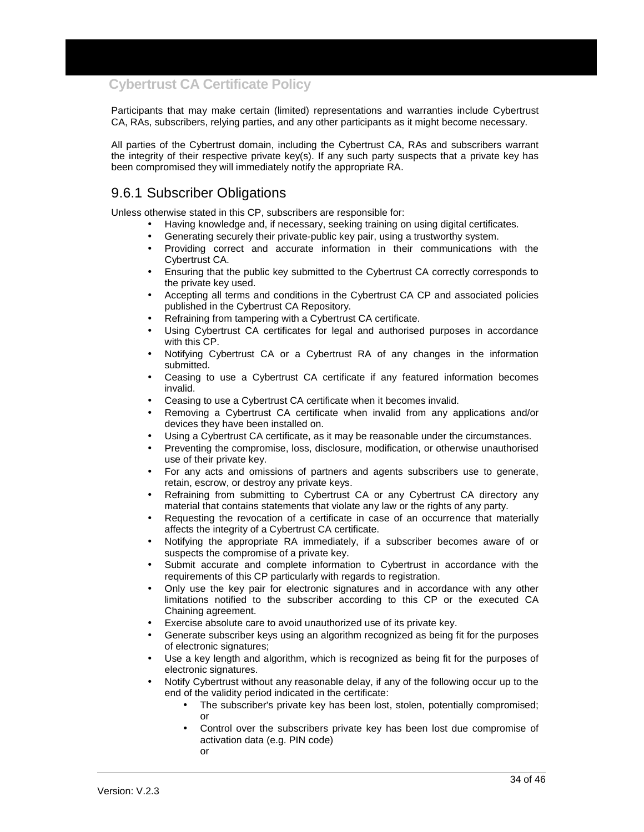Participants that may make certain (limited) representations and warranties include Cybertrust CA, RAs, subscribers, relying parties, and any other participants as it might become necessary.

All parties of the Cybertrust domain, including the Cybertrust CA, RAs and subscribers warrant the integrity of their respective private key(s). If any such party suspects that a private key has been compromised they will immediately notify the appropriate RA.

## 9.6.1 Subscriber Obligations

Unless otherwise stated in this CP, subscribers are responsible for:

- Having knowledge and, if necessary, seeking training on using digital certificates.
- Generating securely their private-public key pair, using a trustworthy system.
- Providing correct and accurate information in their communications with the Cybertrust CA.
- Ensuring that the public key submitted to the Cybertrust CA correctly corresponds to the private key used.
- Accepting all terms and conditions in the Cybertrust CA CP and associated policies published in the Cybertrust CA Repository.
- Refraining from tampering with a Cybertrust CA certificate.
- Using Cybertrust CA certificates for legal and authorised purposes in accordance with this CP.
- Notifying Cybertrust CA or a Cybertrust RA of any changes in the information submitted.
- Ceasing to use a Cybertrust CA certificate if any featured information becomes invalid.
- Ceasing to use a Cybertrust CA certificate when it becomes invalid.
- Removing a Cybertrust CA certificate when invalid from any applications and/or devices they have been installed on.
- Using a Cybertrust CA certificate, as it may be reasonable under the circumstances.
- Preventing the compromise, loss, disclosure, modification, or otherwise unauthorised use of their private key.
- For any acts and omissions of partners and agents subscribers use to generate, retain, escrow, or destroy any private keys.
- Refraining from submitting to Cybertrust CA or any Cybertrust CA directory any material that contains statements that violate any law or the rights of any party.
- Requesting the revocation of a certificate in case of an occurrence that materially affects the integrity of a Cybertrust CA certificate.
- Notifying the appropriate RA immediately, if a subscriber becomes aware of or suspects the compromise of a private key.
- Submit accurate and complete information to Cybertrust in accordance with the requirements of this CP particularly with regards to registration.
- Only use the key pair for electronic signatures and in accordance with any other limitations notified to the subscriber according to this CP or the executed CA Chaining agreement.
- Exercise absolute care to avoid unauthorized use of its private key.
- Generate subscriber keys using an algorithm recognized as being fit for the purposes of electronic signatures;
- Use a key length and algorithm, which is recognized as being fit for the purposes of electronic signatures.
- Notify Cybertrust without any reasonable delay, if any of the following occur up to the end of the validity period indicated in the certificate:
	- The subscriber's private key has been lost, stolen, potentially compromised; or
	- Control over the subscribers private key has been lost due compromise of activation data (e.g. PIN code) or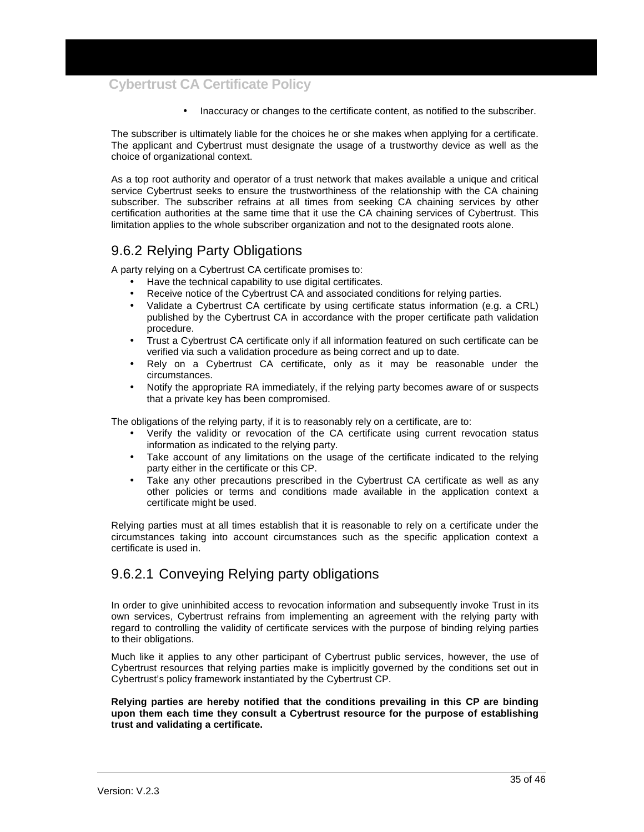• Inaccuracy or changes to the certificate content, as notified to the subscriber.

The subscriber is ultimately liable for the choices he or she makes when applying for a certificate. The applicant and Cybertrust must designate the usage of a trustworthy device as well as the choice of organizational context.

As a top root authority and operator of a trust network that makes available a unique and critical service Cybertrust seeks to ensure the trustworthiness of the relationship with the CA chaining subscriber. The subscriber refrains at all times from seeking CA chaining services by other certification authorities at the same time that it use the CA chaining services of Cybertrust. This limitation applies to the whole subscriber organization and not to the designated roots alone.

## 9.6.2 Relying Party Obligations

A party relying on a Cybertrust CA certificate promises to:

- Have the technical capability to use digital certificates.
- Receive notice of the Cybertrust CA and associated conditions for relying parties.
- Validate a Cybertrust CA certificate by using certificate status information (e.g. a CRL) published by the Cybertrust CA in accordance with the proper certificate path validation procedure.
- Trust a Cybertrust CA certificate only if all information featured on such certificate can be verified via such a validation procedure as being correct and up to date.
- Rely on a Cybertrust CA certificate, only as it may be reasonable under the circumstances.
- Notify the appropriate RA immediately, if the relying party becomes aware of or suspects that a private key has been compromised.

The obligations of the relying party, if it is to reasonably rely on a certificate, are to:

- Verify the validity or revocation of the CA certificate using current revocation status information as indicated to the relying party.
- Take account of any limitations on the usage of the certificate indicated to the relying party either in the certificate or this CP.
- Take any other precautions prescribed in the Cybertrust CA certificate as well as any other policies or terms and conditions made available in the application context a certificate might be used.

Relying parties must at all times establish that it is reasonable to rely on a certificate under the circumstances taking into account circumstances such as the specific application context a certificate is used in.

### 9.6.2.1 Conveying Relying party obligations

In order to give uninhibited access to revocation information and subsequently invoke Trust in its own services, Cybertrust refrains from implementing an agreement with the relying party with regard to controlling the validity of certificate services with the purpose of binding relying parties to their obligations.

Much like it applies to any other participant of Cybertrust public services, however, the use of Cybertrust resources that relying parties make is implicitly governed by the conditions set out in Cybertrust's policy framework instantiated by the Cybertrust CP.

#### **Relying parties are hereby notified that the conditions prevailing in this CP are binding upon them each time they consult a Cybertrust resource for the purpose of establishing trust and validating a certificate.**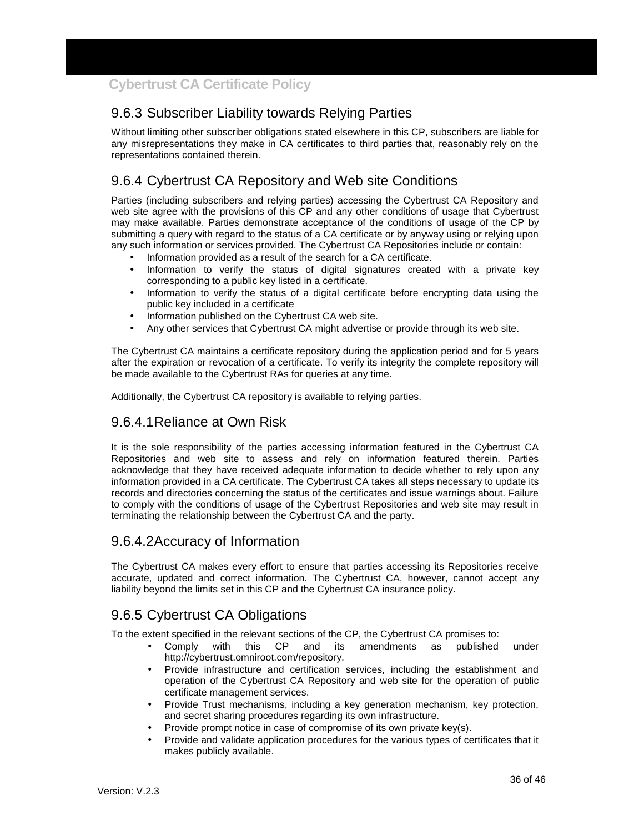## 9.6.3 Subscriber Liability towards Relying Parties

Without limiting other subscriber obligations stated elsewhere in this CP, subscribers are liable for any misrepresentations they make in CA certificates to third parties that, reasonably rely on the representations contained therein.

## 9.6.4 Cybertrust CA Repository and Web site Conditions

Parties (including subscribers and relying parties) accessing the Cybertrust CA Repository and web site agree with the provisions of this CP and any other conditions of usage that Cybertrust may make available. Parties demonstrate acceptance of the conditions of usage of the CP by submitting a query with regard to the status of a CA certificate or by anyway using or relying upon any such information or services provided. The Cybertrust CA Repositories include or contain:

- Information provided as a result of the search for a CA certificate.
- Information to verify the status of digital signatures created with a private key corresponding to a public key listed in a certificate.
- Information to verify the status of a digital certificate before encrypting data using the public key included in a certificate
- Information published on the Cybertrust CA web site.
- Any other services that Cybertrust CA might advertise or provide through its web site.

The Cybertrust CA maintains a certificate repository during the application period and for 5 years after the expiration or revocation of a certificate. To verify its integrity the complete repository will be made available to the Cybertrust RAs for queries at any time.

Additionally, the Cybertrust CA repository is available to relying parties.

### 9.6.4.1 Reliance at Own Risk

It is the sole responsibility of the parties accessing information featured in the Cybertrust CA Repositories and web site to assess and rely on information featured therein. Parties acknowledge that they have received adequate information to decide whether to rely upon any information provided in a CA certificate. The Cybertrust CA takes all steps necessary to update its records and directories concerning the status of the certificates and issue warnings about. Failure to comply with the conditions of usage of the Cybertrust Repositories and web site may result in terminating the relationship between the Cybertrust CA and the party.

#### 9.6.4.2 Accuracy of Information

The Cybertrust CA makes every effort to ensure that parties accessing its Repositories receive accurate, updated and correct information. The Cybertrust CA, however, cannot accept any liability beyond the limits set in this CP and the Cybertrust CA insurance policy.

## 9.6.5 Cybertrust CA Obligations

To the extent specified in the relevant sections of the CP, the Cybertrust CA promises to:

- Comply with this CP and its amendments as published under http://cybertrust.omniroot.com/repository.
- Provide infrastructure and certification services, including the establishment and operation of the Cybertrust CA Repository and web site for the operation of public certificate management services.
- Provide Trust mechanisms, including a key generation mechanism, key protection, and secret sharing procedures regarding its own infrastructure.
- Provide prompt notice in case of compromise of its own private key(s).
- Provide and validate application procedures for the various types of certificates that it makes publicly available.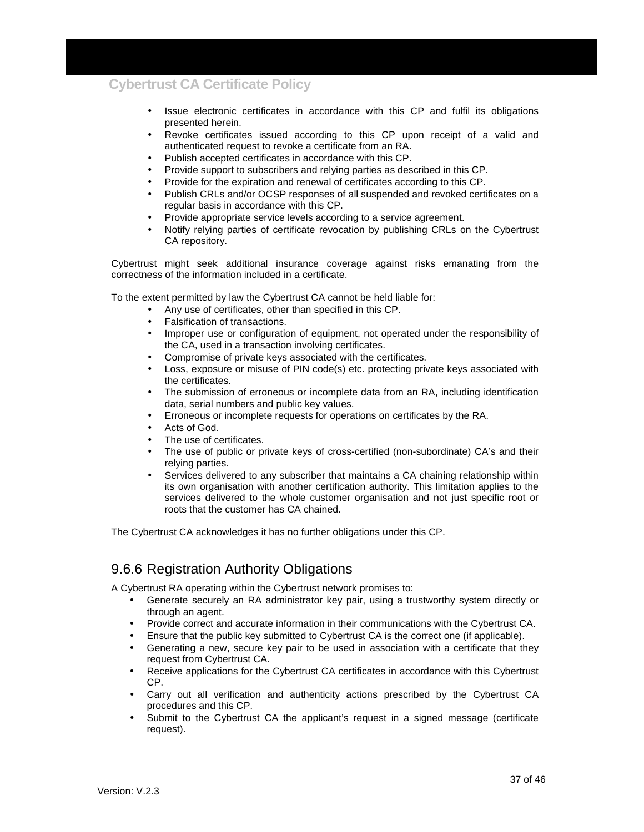- Issue electronic certificates in accordance with this CP and fulfil its obligations presented herein.
- Revoke certificates issued according to this CP upon receipt of a valid and authenticated request to revoke a certificate from an RA.
- Publish accepted certificates in accordance with this CP.
- Provide support to subscribers and relying parties as described in this CP.
- Provide for the expiration and renewal of certificates according to this CP.
- Publish CRLs and/or OCSP responses of all suspended and revoked certificates on a regular basis in accordance with this CP.
- Provide appropriate service levels according to a service agreement.
- Notify relying parties of certificate revocation by publishing CRLs on the Cybertrust CA repository.

Cybertrust might seek additional insurance coverage against risks emanating from the correctness of the information included in a certificate.

To the extent permitted by law the Cybertrust CA cannot be held liable for:

- Any use of certificates, other than specified in this CP.
- Falsification of transactions.
- Improper use or configuration of equipment, not operated under the responsibility of the CA, used in a transaction involving certificates.
- Compromise of private keys associated with the certificates.
- Loss, exposure or misuse of PIN code(s) etc. protecting private keys associated with the certificates.
- The submission of erroneous or incomplete data from an RA, including identification data, serial numbers and public key values.
- Erroneous or incomplete requests for operations on certificates by the RA.
- Acts of God.
- The use of certificates.
- The use of public or private keys of cross-certified (non-subordinate) CA's and their relying parties.
- Services delivered to any subscriber that maintains a CA chaining relationship within its own organisation with another certification authority. This limitation applies to the services delivered to the whole customer organisation and not just specific root or roots that the customer has CA chained.

The Cybertrust CA acknowledges it has no further obligations under this CP.

### 9.6.6 Registration Authority Obligations

A Cybertrust RA operating within the Cybertrust network promises to:

- Generate securely an RA administrator key pair, using a trustworthy system directly or through an agent.
- Provide correct and accurate information in their communications with the Cybertrust CA.
- Ensure that the public key submitted to Cybertrust CA is the correct one (if applicable).
- Generating a new, secure key pair to be used in association with a certificate that they request from Cybertrust CA.
- Receive applications for the Cybertrust CA certificates in accordance with this Cybertrust CP.
- Carry out all verification and authenticity actions prescribed by the Cybertrust CA procedures and this CP.
- Submit to the Cybertrust CA the applicant's request in a signed message (certificate request).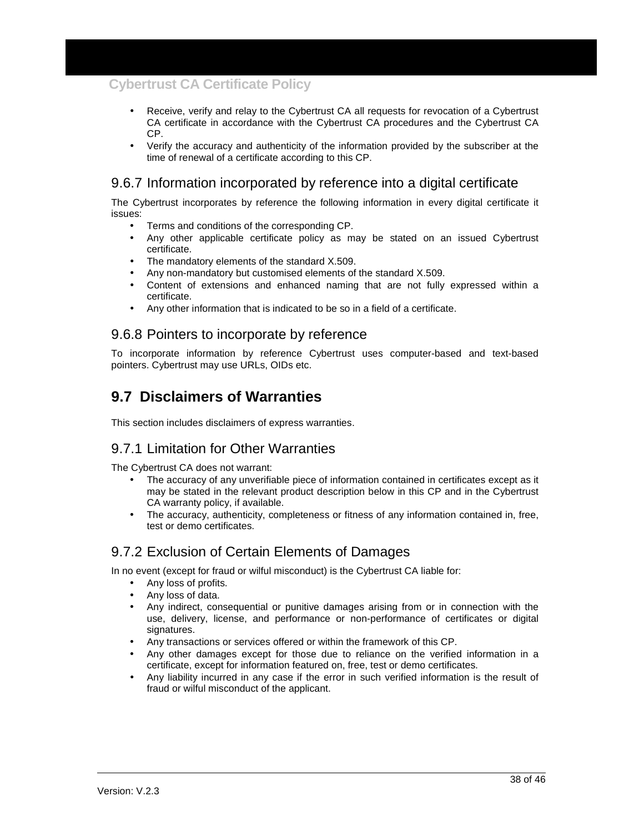- Receive, verify and relay to the Cybertrust CA all requests for revocation of a Cybertrust CA certificate in accordance with the Cybertrust CA procedures and the Cybertrust CA CP.
- Verify the accuracy and authenticity of the information provided by the subscriber at the time of renewal of a certificate according to this CP.

### 9.6.7 Information incorporated by reference into a digital certificate

The Cybertrust incorporates by reference the following information in every digital certificate it issues:

- Terms and conditions of the corresponding CP.
- Any other applicable certificate policy as may be stated on an issued Cybertrust certificate.
- The mandatory elements of the standard X.509.
- Any non-mandatory but customised elements of the standard X.509.
- Content of extensions and enhanced naming that are not fully expressed within a certificate.
- Any other information that is indicated to be so in a field of a certificate.

## 9.6.8 Pointers to incorporate by reference

To incorporate information by reference Cybertrust uses computer-based and text-based pointers. Cybertrust may use URLs, OIDs etc.

## **9.7 Disclaimers of Warranties**

This section includes disclaimers of express warranties.

#### 9.7.1 Limitation for Other Warranties

The Cybertrust CA does not warrant:

- The accuracy of any unverifiable piece of information contained in certificates except as it may be stated in the relevant product description below in this CP and in the Cybertrust CA warranty policy, if available.
- The accuracy, authenticity, completeness or fitness of any information contained in, free, test or demo certificates.

### 9.7.2 Exclusion of Certain Elements of Damages

In no event (except for fraud or wilful misconduct) is the Cybertrust CA liable for:

- Any loss of profits.
- Any loss of data.
- Any indirect, consequential or punitive damages arising from or in connection with the use, delivery, license, and performance or non-performance of certificates or digital signatures.
- Any transactions or services offered or within the framework of this CP.
- Any other damages except for those due to reliance on the verified information in a certificate, except for information featured on, free, test or demo certificates.
- Any liability incurred in any case if the error in such verified information is the result of fraud or wilful misconduct of the applicant.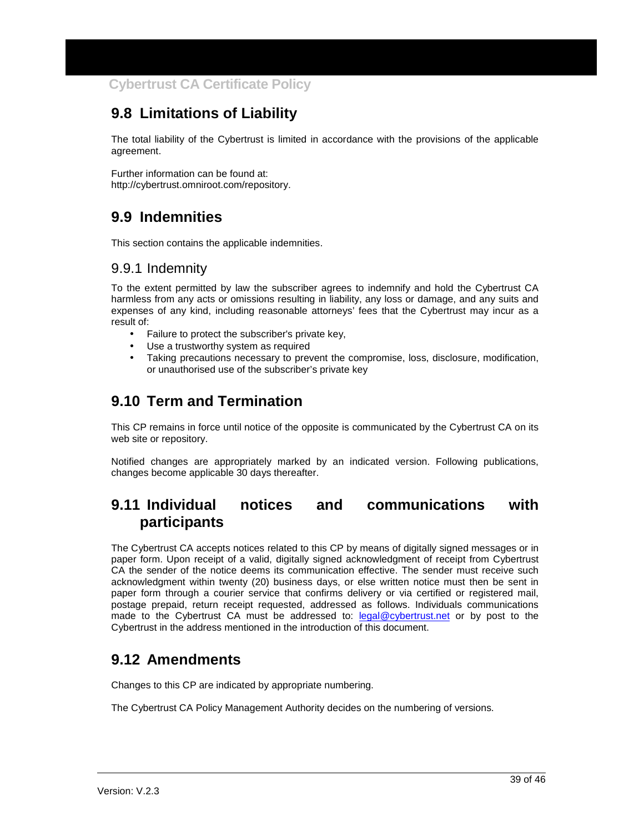## **9.8 Limitations of Liability**

The total liability of the Cybertrust is limited in accordance with the provisions of the applicable agreement.

Further information can be found at: http://cybertrust.omniroot.com/repository.

## **9.9 Indemnities**

This section contains the applicable indemnities.

### 9.9.1 Indemnity

To the extent permitted by law the subscriber agrees to indemnify and hold the Cybertrust CA harmless from any acts or omissions resulting in liability, any loss or damage, and any suits and expenses of any kind, including reasonable attorneys' fees that the Cybertrust may incur as a result of:

- Failure to protect the subscriber's private key,
- Use a trustworthy system as required
- Taking precautions necessary to prevent the compromise, loss, disclosure, modification, or unauthorised use of the subscriber's private key

## **9.10 Term and Termination**

This CP remains in force until notice of the opposite is communicated by the Cybertrust CA on its web site or repository.

Notified changes are appropriately marked by an indicated version. Following publications, changes become applicable 30 days thereafter.

## **9.11 Individual notices and communications with participants**

The Cybertrust CA accepts notices related to this CP by means of digitally signed messages or in paper form. Upon receipt of a valid, digitally signed acknowledgment of receipt from Cybertrust CA the sender of the notice deems its communication effective. The sender must receive such acknowledgment within twenty (20) business days, or else written notice must then be sent in paper form through a courier service that confirms delivery or via certified or registered mail, postage prepaid, return receipt requested, addressed as follows. Individuals communications made to the Cybertrust CA must be addressed to: legal@cybertrust.net or by post to the Cybertrust in the address mentioned in the introduction of this document.

## **9.12 Amendments**

Changes to this CP are indicated by appropriate numbering.

The Cybertrust CA Policy Management Authority decides on the numbering of versions.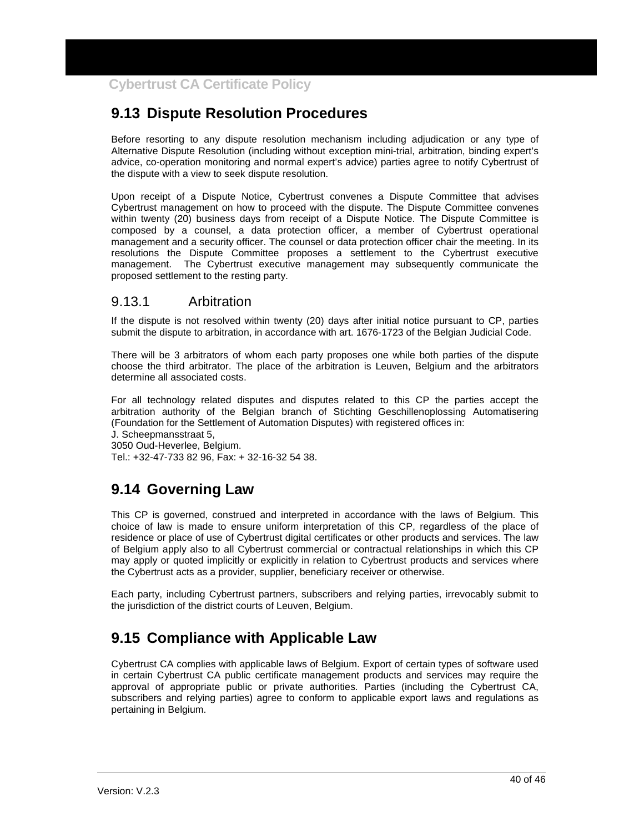## **9.13 Dispute Resolution Procedures**

Before resorting to any dispute resolution mechanism including adjudication or any type of Alternative Dispute Resolution (including without exception mini-trial, arbitration, binding expert's advice, co-operation monitoring and normal expert's advice) parties agree to notify Cybertrust of the dispute with a view to seek dispute resolution.

Upon receipt of a Dispute Notice, Cybertrust convenes a Dispute Committee that advises Cybertrust management on how to proceed with the dispute. The Dispute Committee convenes within twenty (20) business days from receipt of a Dispute Notice. The Dispute Committee is composed by a counsel, a data protection officer, a member of Cybertrust operational management and a security officer. The counsel or data protection officer chair the meeting. In its resolutions the Dispute Committee proposes a settlement to the Cybertrust executive management. The Cybertrust executive management may subsequently communicate the proposed settlement to the resting party.

### 9.13.1 Arbitration

If the dispute is not resolved within twenty (20) days after initial notice pursuant to CP, parties submit the dispute to arbitration, in accordance with art. 1676-1723 of the Belgian Judicial Code.

There will be 3 arbitrators of whom each party proposes one while both parties of the dispute choose the third arbitrator. The place of the arbitration is Leuven, Belgium and the arbitrators determine all associated costs.

For all technology related disputes and disputes related to this CP the parties accept the arbitration authority of the Belgian branch of Stichting Geschillenoplossing Automatisering (Foundation for the Settlement of Automation Disputes) with registered offices in:

J. Scheepmansstraat 5,

3050 Oud-Heverlee, Belgium. Tel.: +32-47-733 82 96, Fax: + 32-16-32 54 38.

## **9.14 Governing Law**

This CP is governed, construed and interpreted in accordance with the laws of Belgium. This choice of law is made to ensure uniform interpretation of this CP, regardless of the place of residence or place of use of Cybertrust digital certificates or other products and services. The law of Belgium apply also to all Cybertrust commercial or contractual relationships in which this CP may apply or quoted implicitly or explicitly in relation to Cybertrust products and services where the Cybertrust acts as a provider, supplier, beneficiary receiver or otherwise.

Each party, including Cybertrust partners, subscribers and relying parties, irrevocably submit to the jurisdiction of the district courts of Leuven, Belgium.

## **9.15 Compliance with Applicable Law**

Cybertrust CA complies with applicable laws of Belgium. Export of certain types of software used in certain Cybertrust CA public certificate management products and services may require the approval of appropriate public or private authorities. Parties (including the Cybertrust CA, subscribers and relying parties) agree to conform to applicable export laws and regulations as pertaining in Belgium.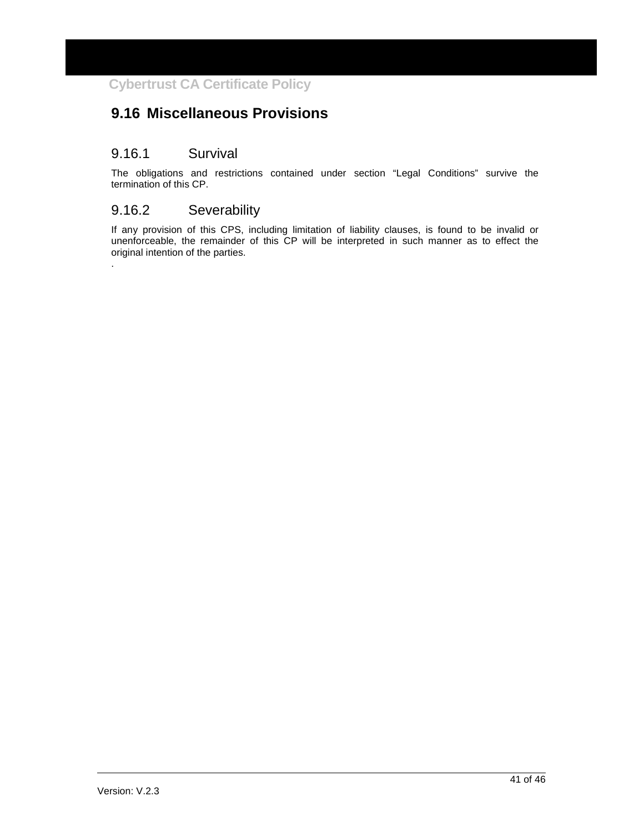## **9.16 Miscellaneous Provisions**

#### 9.16.1 Survival

The obligations and restrictions contained under section "Legal Conditions" survive the termination of this CP.

## 9.16.2 Severability

.

If any provision of this CPS, including limitation of liability clauses, is found to be invalid or unenforceable, the remainder of this CP will be interpreted in such manner as to effect the original intention of the parties.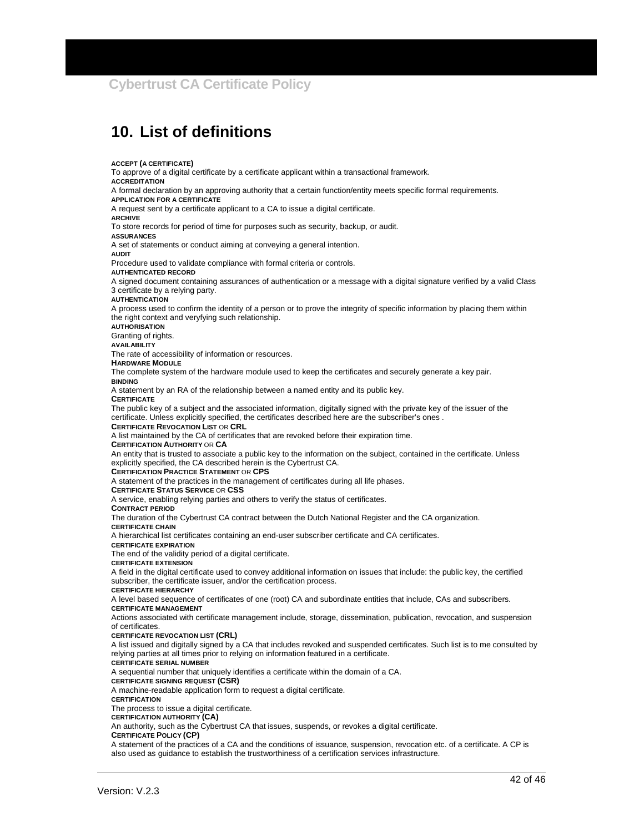## **10. List of definitions**

**ACCEPT (A CERTIFICATE)** To approve of a digital certificate by a certificate applicant within a transactional framework. **ACCREDITATION** A formal declaration by an approving authority that a certain function/entity meets specific formal requirements. **APPLICATION FOR A CERTIFICATE** A request sent by a certificate applicant to a CA to issue a digital certificate. **ARCHIVE** To store records for period of time for purposes such as security, backup, or audit. **ASSURANCES** A set of statements or conduct aiming at conveying a general intention. **AUDIT** Procedure used to validate compliance with formal criteria or controls. **AUTHENTICATED RECORD** A signed document containing assurances of authentication or a message with a digital signature verified by a valid Class 3 certificate by a relying party. **AUTHENTICATION** A process used to confirm the identity of a person or to prove the integrity of specific information by placing them within the right context and veryfying such relationship. **AUTHORISATION** Granting of rights. **AVAILABILITY** The rate of accessibility of information or resources. **HARDWARE MODULE** The complete system of the hardware module used to keep the certificates and securely generate a key pair. **BINDING** A statement by an RA of the relationship between a named entity and its public key. **CERTIFICATE** The public key of a subject and the associated information, digitally signed with the private key of the issuer of the certificate. Unless explicitly specified, the certificates described here are the subscriber's ones . **CERTIFICATE REVOCATION LIST** OR **CRL** A list maintained by the CA of certificates that are revoked before their expiration time. **CERTIFICATION AUTHORITY** OR **CA** An entity that is trusted to associate a public key to the information on the subject, contained in the certificate. Unless explicitly specified, the CA described herein is the Cybertrust CA. **CERTIFICATION PRACTICE STATEMENT** OR **CPS** A statement of the practices in the management of certificates during all life phases. **CERTIFICATE STATUS SERVICE** OR **CSS** A service, enabling relying parties and others to verify the status of certificates. **CONTRACT PERIOD** The duration of the Cybertrust CA contract between the Dutch National Register and the CA organization. **CERTIFICATE CHAIN** A hierarchical list certificates containing an end-user subscriber certificate and CA certificates. **CERTIFICATE EXPIRATION** The end of the validity period of a digital certificate. **CERTIFICATE EXTENSION** A field in the digital certificate used to convey additional information on issues that include: the public key, the certified subscriber, the certificate issuer, and/or the certification process. **CERTIFICATE HIERARCHY** A level based sequence of certificates of one (root) CA and subordinate entities that include, CAs and subscribers. **CERTIFICATE MANAGEMENT** Actions associated with certificate management include, storage, dissemination, publication, revocation, and suspension of certificates. **CERTIFICATE REVOCATION LIST (CRL)** A list issued and digitally signed by a CA that includes revoked and suspended certificates. Such list is to me consulted by relying parties at all times prior to relying on information featured in a certificate. **CERTIFICATE SERIAL NUMBER** A sequential number that uniquely identifies a certificate within the domain of a CA. **CERTIFICATE SIGNING REQUEST (CSR)**  A machine-readable application form to request a digital certificate. **CERTIFICATION** The process to issue a digital certificate. **CERTIFICATION AUTHORITY (CA)**  An authority, such as the Cybertrust CA that issues, suspends, or revokes a digital certificate. **CERTIFICATE POLICY (CP)**  A statement of the practices of a CA and the conditions of issuance, suspension, revocation etc. of a certificate. A CP is also used as guidance to establish the trustworthiness of a certification services infrastructure.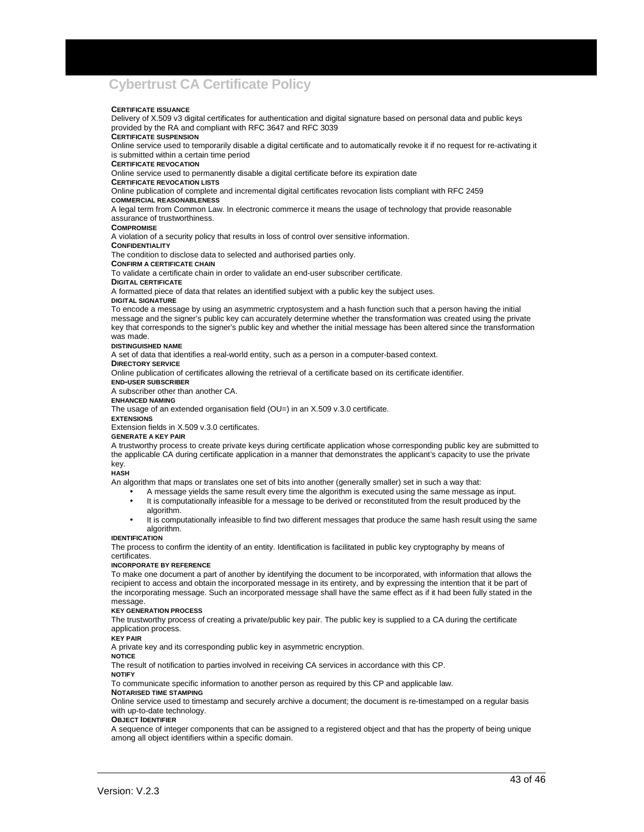#### **CERTIFICATE ISSUANCE**

Delivery of X.509 v3 digital certificates for authentication and digital signature based on personal data and public keys provided by the RA and compliant with RFC 3647 and RFC 3039

#### **CERTIFICATE SUSPENSION**

Online service used to temporarily disable a digital certificate and to automatically revoke it if no request for re-activating it is submitted within a certain time period

#### **CERTIFICATE REVOCATION**

Online service used to permanently disable a digital certificate before its expiration date

#### **CERTIFICATE REVOCATION LISTS**

Online publication of complete and incremental digital certificates revocation lists compliant with RFC 2459

#### **COMMERCIAL REASONABLENESS**

A legal term from Common Law. In electronic commerce it means the usage of technology that provide reasonable assurance of trustworthiness.

#### **COMPROMISE**

A violation of a security policy that results in loss of control over sensitive information.

#### **CONFIDENTIALITY**

The condition to disclose data to selected and authorised parties only.

**CONFIRM A CERTIFICATE CHAIN**

To validate a certificate chain in order to validate an end-user subscriber certificate.

#### **DIGITAL CERTIFICATE**

A formatted piece of data that relates an identified subjext with a public key the subject uses.

#### **DIGITAL SIGNATURE**

To encode a message by using an asymmetric cryptosystem and a hash function such that a person having the initial message and the signer's public key can accurately determine whether the transformation was created using the private key that corresponds to the signer's public key and whether the initial message has been altered since the transformation was made.

#### **DISTINGUISHED NAME**

A set of data that identifies a real-world entity, such as a person in a computer-based context.

#### **DIRECTORY SERVICE**

Online publication of certificates allowing the retrieval of a certificate based on its certificate identifier.

**END-USER SUBSCRIBER**

A subscriber other than another CA.

#### **ENHANCED NAMING**

The usage of an extended organisation field (OU=) in an X.509 v.3.0 certificate.

#### **EXTENSIONS**

Extension fields in X.509 v.3.0 certificates.

#### **GENERATE A KEY PAIR**

A trustworthy process to create private keys during certificate application whose corresponding public key are submitted to the applicable CA during certificate application in a manner that demonstrates the applicant's capacity to use the private key.

#### **HASH**

An algorithm that maps or translates one set of bits into another (generally smaller) set in such a way that:

- A message yields the same result every time the algorithm is executed using the same message as input.
- It is computationally infeasible for a message to be derived or reconstituted from the result produced by the algorithm.
- It is computationally infeasible to find two different messages that produce the same hash result using the same algorithm.

#### **IDENTIFICATION**

The process to confirm the identity of an entity. Identification is facilitated in public key cryptography by means of certificates.

#### **INCORPORATE BY REFERENCE**

To make one document a part of another by identifying the document to be incorporated, with information that allows the recipient to access and obtain the incorporated message in its entirety, and by expressing the intention that it be part of the incorporating message. Such an incorporated message shall have the same effect as if it had been fully stated in the message.

#### **KEY GENERATION PROCESS**

The trustworthy process of creating a private/public key pair. The public key is supplied to a CA during the certificate application process.

#### **KEY PAIR**

A private key and its corresponding public key in asymmetric encryption.

**NOTICE**

The result of notification to parties involved in receiving CA services in accordance with this CP. **NOTIFY**

To communicate specific information to another person as required by this CP and applicable law.

#### **NOTARISED TIME STAMPING**

Online service used to timestamp and securely archive a document; the document is re-timestamped on a regular basis with up-to-date technology.

#### **OBJECT IDENTIFIER**

A sequence of integer components that can be assigned to a registered object and that has the property of being unique among all object identifiers within a specific domain.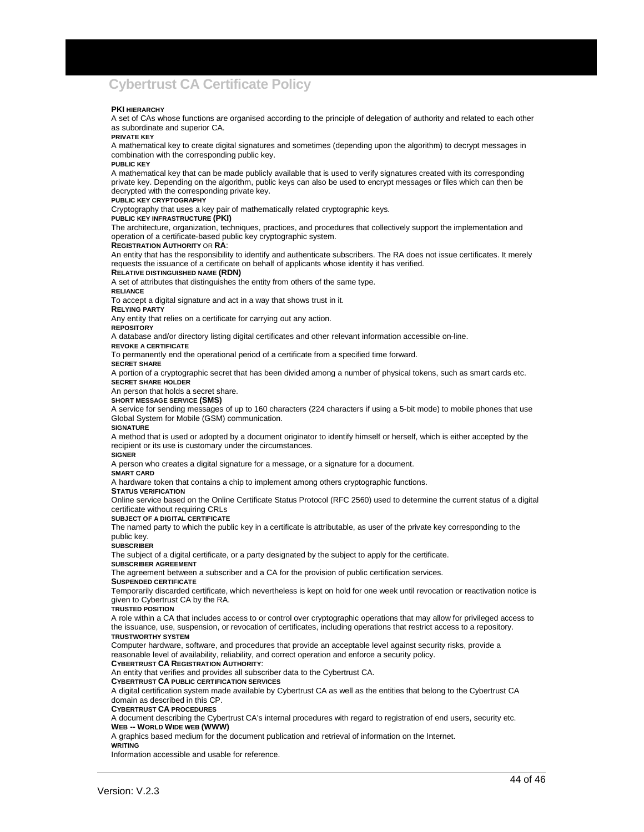#### **PKI HIERARCHY**

A set of CAs whose functions are organised according to the principle of delegation of authority and related to each other as subordinate and superior CA.

#### **PRIVATE KEY**

A mathematical key to create digital signatures and sometimes (depending upon the algorithm) to decrypt messages in combination with the corresponding public key.

**PUBLIC KEY** A mathematical key that can be made publicly available that is used to verify signatures created with its corresponding private key. Depending on the algorithm, public keys can also be used to encrypt messages or files which can then be decrypted with the corresponding private key.

#### **PUBLIC KEY CRYPTOGRAPHY**

Cryptography that uses a key pair of mathematically related cryptographic keys.

#### **PUBLIC KEY INFRASTRUCTURE (PKI)**

The architecture, organization, techniques, practices, and procedures that collectively support the implementation and operation of a certificate-based public key cryptographic system.

#### **REGISTRATION AUTHORITY** OR **RA**:

An entity that has the responsibility to identify and authenticate subscribers. The RA does not issue certificates. It merely requests the issuance of a certificate on behalf of applicants whose identity it has verified.

#### **RELATIVE DISTINGUISHED NAME (RDN)**

A set of attributes that distinguishes the entity from others of the same type.

#### **RELIANCE**

To accept a digital signature and act in a way that shows trust in it.

#### **RELYING PARTY**

Any entity that relies on a certificate for carrying out any action.

**REPOSITORY**

A database and/or directory listing digital certificates and other relevant information accessible on-line.

**REVOKE A CERTIFICATE** 

To permanently end the operational period of a certificate from a specified time forward.

#### **SECRET SHARE**

A portion of a cryptographic secret that has been divided among a number of physical tokens, such as smart cards etc. **SECRET SHARE HOLDER**

An person that holds a secret share.

**SHORT MESSAGE SERVICE (SMS)** 

A service for sending messages of up to 160 characters (224 characters if using a 5-bit mode) to mobile phones that use Global System for Mobile (GSM) communication.

#### **SIGNATURE**

A method that is used or adopted by a document originator to identify himself or herself, which is either accepted by the recipient or its use is customary under the circumstances.

#### **SIGNER**

A person who creates a digital signature for a message, or a signature for a document.

#### **SMART CARD**

A hardware token that contains a chip to implement among others cryptographic functions.

#### **STATUS VERIFICATION**

Online service based on the Online Certificate Status Protocol (RFC 2560) used to determine the current status of a digital certificate without requiring CRLs

**SUBJECT OF A DIGITAL CERTIFICATE**

The named party to which the public key in a certificate is attributable, as user of the private key corresponding to the public key.

#### **SUBSCRIBER**

The subject of a digital certificate, or a party designated by the subject to apply for the certificate.

#### **SUBSCRIBER AGREEMENT**

The agreement between a subscriber and a CA for the provision of public certification services.

#### **SUSPENDED CERTIFICATE**

Temporarily discarded certificate, which nevertheless is kept on hold for one week until revocation or reactivation notice is given to Cybertrust CA by the RA.

#### **TRUSTED POSITION**

A role within a CA that includes access to or control over cryptographic operations that may allow for privileged access to the issuance, use, suspension, or revocation of certificates, including operations that restrict access to a repository. **TRUSTWORTHY SYSTEM**

Computer hardware, software, and procedures that provide an acceptable level against security risks, provide a reasonable level of availability, reliability, and correct operation and enforce a security policy.

#### **CYBERTRUST CA REGISTRATION AUTHORITY**:

An entity that verifies and provides all subscriber data to the Cybertrust CA.

#### **CYBERTRUST CA PUBLIC CERTIFICATION SERVICES**

A digital certification system made available by Cybertrust CA as well as the entities that belong to the Cybertrust CA domain as described in this CP.

**CYBERTRUST CA PROCEDURES** 

A document describing the Cybertrust CA's internal procedures with regard to registration of end users, security etc. **WEB -- WORLD WIDE WEB (WWW)**

A graphics based medium for the document publication and retrieval of information on the Internet. **WRITING**

Information accessible and usable for reference.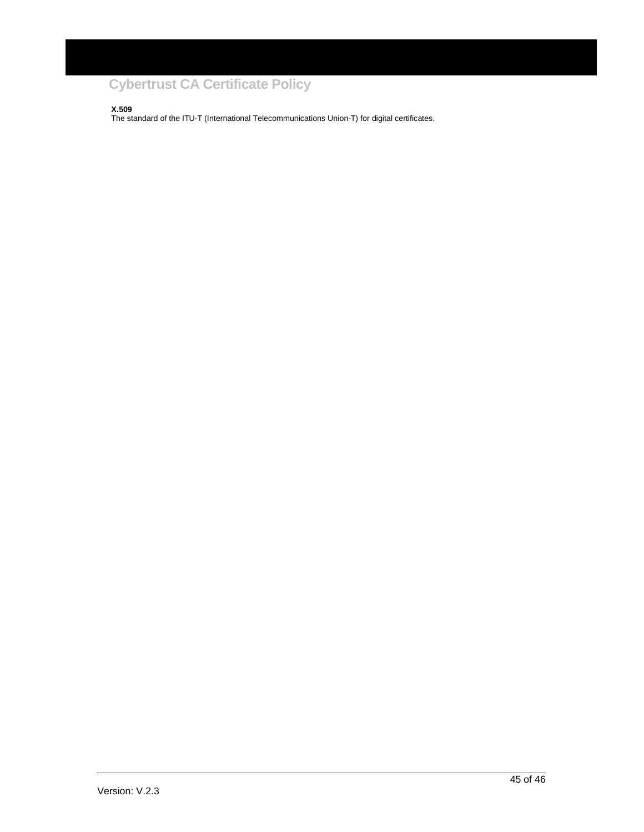**X.509**

The standard of the ITU-T (International Telecommunications Union-T) for digital certificates.